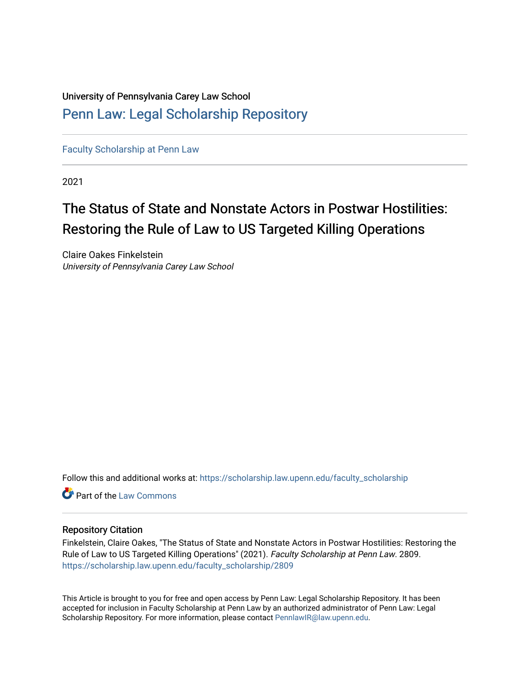## University of Pennsylvania Carey Law School [Penn Law: Legal Scholarship Repository](https://scholarship.law.upenn.edu/)

[Faculty Scholarship at Penn Law](https://scholarship.law.upenn.edu/faculty_scholarship)

2021

# The Status of State and Nonstate Actors in Postwar Hostilities: Restoring the Rule of Law to US Targeted Killing Operations

Claire Oakes Finkelstein University of Pennsylvania Carey Law School

Follow this and additional works at: [https://scholarship.law.upenn.edu/faculty\\_scholarship](https://scholarship.law.upenn.edu/faculty_scholarship?utm_source=scholarship.law.upenn.edu%2Ffaculty_scholarship%2F2809&utm_medium=PDF&utm_campaign=PDFCoverPages) 

**C** Part of the [Law Commons](http://network.bepress.com/hgg/discipline/578?utm_source=scholarship.law.upenn.edu%2Ffaculty_scholarship%2F2809&utm_medium=PDF&utm_campaign=PDFCoverPages)

### Repository Citation

Finkelstein, Claire Oakes, "The Status of State and Nonstate Actors in Postwar Hostilities: Restoring the Rule of Law to US Targeted Killing Operations" (2021). Faculty Scholarship at Penn Law. 2809. [https://scholarship.law.upenn.edu/faculty\\_scholarship/2809](https://scholarship.law.upenn.edu/faculty_scholarship/2809?utm_source=scholarship.law.upenn.edu%2Ffaculty_scholarship%2F2809&utm_medium=PDF&utm_campaign=PDFCoverPages)

This Article is brought to you for free and open access by Penn Law: Legal Scholarship Repository. It has been accepted for inclusion in Faculty Scholarship at Penn Law by an authorized administrator of Penn Law: Legal Scholarship Repository. For more information, please contact [PennlawIR@law.upenn.edu.](mailto:PennlawIR@law.upenn.edu)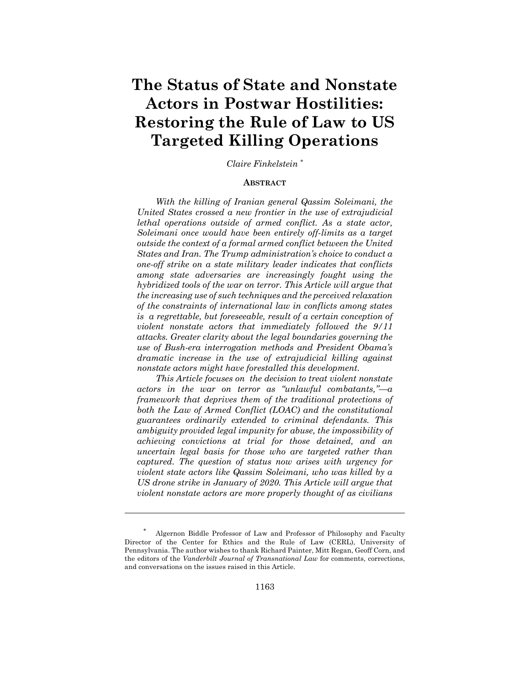## **The Status of State and Nonstate Actors in Postwar Hostilities: Restoring the Rule of Law to US Targeted Killing Operations**

*Claire Finkelstein \**

#### **ABSTRACT**

*With the killing of Iranian general Qassim Soleimani, the United States crossed a new frontier in the use of extrajudicial lethal operations outside of armed conflict. As a state actor, Soleimani once would have been entirely off-limits as a target outside the context of a formal armed conflict between the United States and Iran. The Trump administration's choice to conduct a one-off strike on a state military leader indicates that conflicts among state adversaries are increasingly fought using the hybridized tools of the war on terror. This Article will argue that the increasing use of such techniques and the perceived relaxation of the constraints of international law in conflicts among states is a regrettable, but foreseeable, result of a certain conception of violent nonstate actors that immediately followed the 9/11 attacks. Greater clarity about the legal boundaries governing the use of Bush-era interrogation methods and President Obama's dramatic increase in the use of extrajudicial killing against nonstate actors might have forestalled this development.*

*This Article focuses on the decision to treat violent nonstate actors in the war on terror as "unlawful combatants,"—a framework that deprives them of the traditional protections of both the Law of Armed Conflict (LOAC) and the constitutional guarantees ordinarily extended to criminal defendants. This ambiguity provided legal impunity for abuse, the impossibility of achieving convictions at trial for those detained, and an uncertain legal basis for those who are targeted rather than captured. The question of status now arises with urgency for violent state actors like Qassim Soleimani, who was killed by a US drone strike in January of 2020. This Article will argue that violent nonstate actors are more properly thought of as civilians*

<sup>\*</sup> Algernon Biddle Professor of Law and Professor of Philosophy and Faculty Director of the Center for Ethics and the Rule of Law (CERL), University of Pennsylvania. The author wishes to thank Richard Painter, Mitt Regan, Geoff Corn, and the editors of the *Vanderbilt Journal of Transnational Law* for comments, corrections, and conversations on the issues raised in this Article.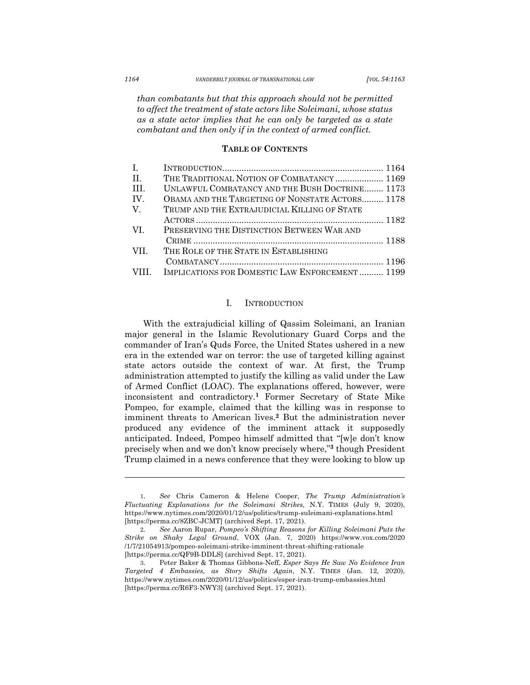*than combatants but that this approach should not be permitted to affect the treatment of state actors like Soleimani, whose status as a state actor implies that he can only be targeted as a state combatant and then only if in the context of armed conflict.*

#### **TABLE OF CONTENTS**

| Ι.          |                                                 |
|-------------|-------------------------------------------------|
| H.          | THE TRADITIONAL NOTION OF COMBATANCY 1169       |
| -HL         | UNLAWFUL COMBATANCY AND THE BUSH DOCTRINE 1173  |
| TV.         | OBAMA AND THE TARGETING OF NONSTATE ACTORS 1178 |
| $\mathbf V$ | TRUMP AND THE EXTRAJUDICIAL KILLING OF STATE    |
|             |                                                 |
| VL.         | PRESERVING THE DISTINCTION BETWEEN WAR AND      |
|             |                                                 |
| VII         | THE ROLE OF THE STATE IN ESTABLISHING           |
|             |                                                 |
| VIII        | IMPLICATIONS FOR DOMESTIC LAW ENFORCEMENT 1199  |

#### I. INTRODUCTION

With the extrajudicial killing of Qassim Soleimani, an Iranian major general in the Islamic Revolutionary Guard Corps and the commander of Iran's Quds Force, the United States ushered in a new era in the extended war on terror: the use of targeted killing against state actors outside the context of war. At first, the Trump administration attempted to justify the killing as valid under the Law of Armed Conflict (LOAC). The explanations offered, however, were inconsistent and contradictory. **<sup>1</sup>** Former Secretary of State Mike Pompeo, for example, claimed that the killing was in response to imminent threats to American lives.**<sup>2</sup>** But the administration never produced any evidence of the imminent attack it supposedly anticipated. Indeed, Pompeo himself admitted that "[w]e don't know precisely when and we don't know precisely where,"**<sup>3</sup>** though President Trump claimed in a news conference that they were looking to blow up

<sup>1.</sup> *See* Chris Cameron & Helene Cooper, *The Trump Administration's Fluctuating Explanations for the Soleimani Strikes,* N.Y. TIMES (July 9, 2020), https://www.nytimes.com/2020/01/12/us/politics/trump-suleimani-explanations.html [https://perma.cc/8ZBC-JCMT] (archived Sept. 17, 2021).

<sup>2.</sup> *See* Aaron Rupar, *Pompeo's Shifting Reasons for Killing Soleimani Puts the Strike on Shaky Legal Ground*, VOX (Jan. 7, 2020) https://www.vox.com/2020 /1/7/21054913/pompeo-soleimani-strike-imminent-threat-shifting-rationale [https://perma.cc/QF9B-DDLS] (archived Sept. 17, 2021).

<sup>3.</sup> Peter Baker & Thomas Gibbons-Neff, *Esper Says He Saw No Evidence Iran Targeted 4 Embassies, as Story Shifts Again*, N.Y. TIMES (Jan. 12, 2020), https://www.nytimes.com/2020/01/12/us/politics/esper-iran-trump-embassies.html [https://perma.cc/R6F3-NWY3] (archived Sept. 17, 2021).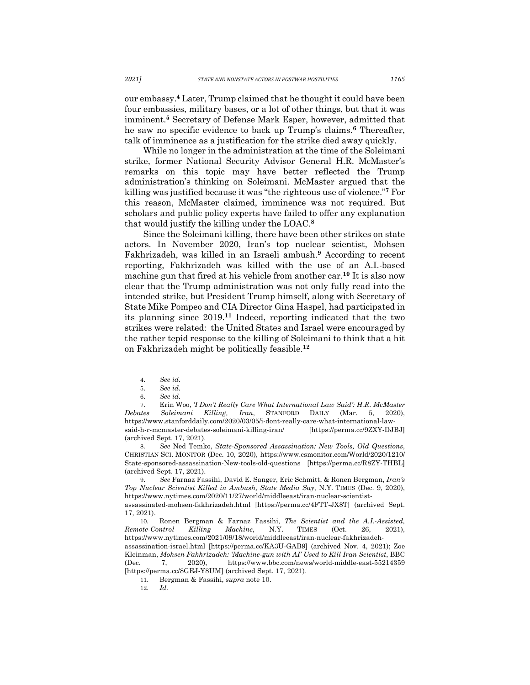our embassy.**<sup>4</sup>** Later, Trump claimed that he thought it could have been four embassies, military bases, or a lot of other things, but that it was imminent.**<sup>5</sup>** Secretary of Defense Mark Esper, however, admitted that he saw no specific evidence to back up Trump's claims.**<sup>6</sup>** Thereafter, talk of imminence as a justification for the strike died away quickly.

While no longer in the administration at the time of the Soleimani strike, former National Security Advisor General H.R. McMaster's remarks on this topic may have better reflected the Trump administration's thinking on Soleimani. McMaster argued that the killing was justified because it was "the righteous use of violence."**<sup>7</sup>** For this reason, McMaster claimed, imminence was not required. But scholars and public policy experts have failed to offer any explanation that would justify the killing under the LOAC. **8**

Since the Soleimani killing, there have been other strikes on state actors. In November 2020, Iran's top nuclear scientist, Mohsen Fakhrizadeh, was killed in an Israeli ambush.**<sup>9</sup>** According to recent reporting, Fakhrizadeh was killed with the use of an A.I.-based machine gun that fired at his vehicle from another car.**<sup>10</sup>** It is also now clear that the Trump administration was not only fully read into the intended strike, but President Trump himself, along with Secretary of State Mike Pompeo and CIA Director Gina Haspel, had participated in its planning since 2019. **<sup>11</sup>** Indeed, reporting indicated that the two strikes were related: the United States and Israel were encouraged by the rather tepid response to the killing of Soleimani to think that a hit on Fakhrizadeh might be politically feasible.**<sup>12</sup>**

7. Erin Woo, *'I Don't Really Care What International Law Said': H.R. McMaster Debates Soleimani Killing, Iran*, STANFORD DAILY (Mar. 5, 2020), https://www.stanforddaily.com/2020/03/05/i-dont-really-care-what-international-lawsaid-h-r-mcmaster-debates-soleimani-killing-iran/ [https://perma.cc/9ZXY-DJBJ] (archived Sept. 17, 2021).

8*. See* Ned Temko, *State-Sponsored Assassination: New Tools, Old Questions*, CHRISTIAN SCI. MONITOR (Dec. 10, 2020), https://www.csmonitor.com/World/2020/1210/ State-sponsored-assassination-New-tools-old-questions [https://perma.cc/R8ZY-THBL] (archived Sept. 17, 2021).

9. *See* Farnaz Fassihi, David E. Sanger, Eric Schmitt, & Ronen Bergman, *Iran's Top Nuclear Scientist Killed in Ambush, State Media Say*, N.Y. TIMES (Dec. 9, 2020), https://www.nytimes.com/2020/11/27/world/middleeast/iran-nuclear-scientist-

assassinated-mohsen-fakhrizadeh.html [https://perma.cc/4FTT-JX8T] (archived Sept. 17, 2021).

10. Ronen Bergman & Farnaz Fassihi, *The Scientist and the A.I.-Assisted, Remote-Control Killing Machine*, N.Y. TIMES (Oct. 26, 2021), https://www.nytimes.com/2021/09/18/world/middleeast/iran-nuclear-fakhrizadeh-

assassination-israel.html [https://perma.cc/KA3U-GAB9] (archived Nov. 4, 2021); Zoe Kleinman, *Mohsen Fakhrizadeh: 'Machine-gun with AI' Used to Kill Iran Scientist*, BBC (Dec. 7, 2020), https://www.bbc.com/news/world-middle-east-55214359 [https://perma.cc/8GEJ-Y8UM] (archived Sept. 17, 2021).

11. Bergman & Fassihi, *supra* note 10.

12. *Id.*

<sup>4.</sup> *See id.* 

<sup>5.</sup> *See id.* 

<sup>6.</sup> *See id.*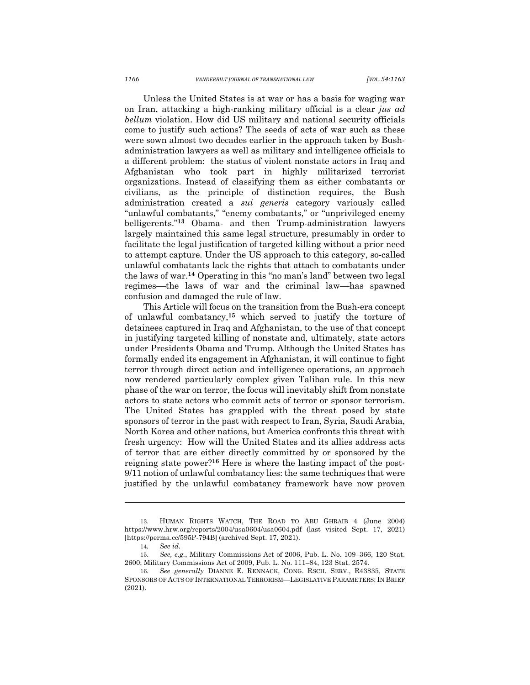Unless the United States is at war or has a basis for waging war on Iran, attacking a high-ranking military official is a clear *jus ad bellum* violation. How did US military and national security officials come to justify such actions? The seeds of acts of war such as these were sown almost two decades earlier in the approach taken by Bushadministration lawyers as well as military and intelligence officials to a different problem: the status of violent nonstate actors in Iraq and Afghanistan who took part in highly militarized terrorist organizations. Instead of classifying them as either combatants or civilians, as the principle of distinction requires, the Bush administration created a *sui generis* category variously called "unlawful combatants," "enemy combatants," or "unprivileged enemy belligerents."**<sup>13</sup>** Obama- and then Trump-administration lawyers largely maintained this same legal structure, presumably in order to facilitate the legal justification of targeted killing without a prior need to attempt capture. Under the US approach to this category, so-called unlawful combatants lack the rights that attach to combatants under the laws of war. **<sup>14</sup>** Operating in this "no man's land" between two legal regimes––the laws of war and the criminal law––has spawned confusion and damaged the rule of law.

This Article will focus on the transition from the Bush-era concept of unlawful combatancy, **<sup>15</sup>** which served to justify the torture of detainees captured in Iraq and Afghanistan, to the use of that concept in justifying targeted killing of nonstate and, ultimately, state actors under Presidents Obama and Trump. Although the United States has formally ended its engagement in Afghanistan, it will continue to fight terror through direct action and intelligence operations, an approach now rendered particularly complex given Taliban rule. In this new phase of the war on terror, the focus will inevitably shift from nonstate actors to state actors who commit acts of terror or sponsor terrorism. The United States has grappled with the threat posed by state sponsors of terror in the past with respect to Iran, Syria, Saudi Arabia, North Korea and other nations, but America confronts this threat with fresh urgency: How will the United States and its allies address acts of terror that are either directly committed by or sponsored by the reigning state power?**<sup>16</sup>** Here is where the lasting impact of the post-9/11 notion of unlawful combatancy lies: the same techniques that were justified by the unlawful combatancy framework have now proven

<sup>13.</sup> HUMAN RIGHTS WATCH, THE ROAD TO ABU GHRAIB 4 (June 2004) https://www.hrw.org/reports/2004/usa0604/usa0604.pdf (last visited Sept. 17, 2021) [https://perma.cc/595P-794B] (archived Sept. 17, 2021).

<sup>14</sup>*. See id.*

<sup>15.</sup> *See, e.g.*, Military Commissions Act of 2006, Pub. L. No. 109–366, 120 Stat. 2600; Military Commissions Act of 2009, Pub. L. No. 111–84, 123 Stat. 2574.

<sup>16.</sup> *See generally* DIANNE E. RENNACK, CONG. RSCH. SERV., R43835, STATE SPONSORS OF ACTS OF INTERNATIONAL TERRORISM—LEGISLATIVE PARAMETERS: IN BRIEF (2021).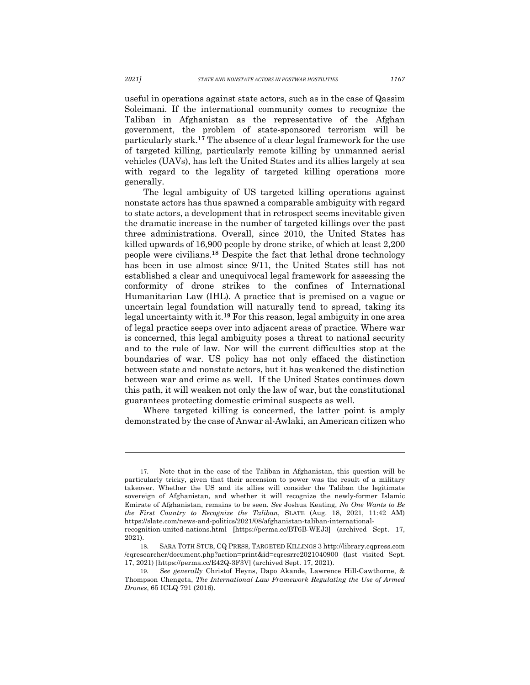useful in operations against state actors, such as in the case of Qassim Soleimani. If the international community comes to recognize the Taliban in Afghanistan as the representative of the Afghan government, the problem of state-sponsored terrorism will be particularly stark.**<sup>17</sup>** The absence of a clear legal framework for the use of targeted killing, particularly remote killing by unmanned aerial vehicles (UAVs), has left the United States and its allies largely at sea with regard to the legality of targeted killing operations more generally.

The legal ambiguity of US targeted killing operations against nonstate actors has thus spawned a comparable ambiguity with regard to state actors, a development that in retrospect seems inevitable given the dramatic increase in the number of targeted killings over the past three administrations. Overall, since 2010, the United States has killed upwards of 16,900 people by drone strike, of which at least 2,200 people were civilians.**<sup>18</sup>** Despite the fact that lethal drone technology has been in use almost since 9/11, the United States still has not established a clear and unequivocal legal framework for assessing the conformity of drone strikes to the confines of International Humanitarian Law (IHL). A practice that is premised on a vague or uncertain legal foundation will naturally tend to spread, taking its legal uncertainty with it.**<sup>19</sup>** For this reason, legal ambiguity in one area of legal practice seeps over into adjacent areas of practice. Where war is concerned, this legal ambiguity poses a threat to national security and to the rule of law. Nor will the current difficulties stop at the boundaries of war. US policy has not only effaced the distinction between state and nonstate actors, but it has weakened the distinction between war and crime as well. If the United States continues down this path, it will weaken not only the law of war, but the constitutional guarantees protecting domestic criminal suspects as well.

Where targeted killing is concerned, the latter point is amply demonstrated by the case of Anwar al-Awlaki, an American citizen who

<sup>17.</sup> Note that in the case of the Taliban in Afghanistan, this question will be particularly tricky, given that their accension to power was the result of a military takeover. Whether the US and its allies will consider the Taliban the legitimate sovereign of Afghanistan, and whether it will recognize the newly-former Islamic Emirate of Afghanistan, remains to be seen. *See* Joshua Keating, *No One Wants to Be the First Country to Recognize the Taliban*, SLATE (Aug. 18, 2021, 11:42 AM) https://slate.com/news-and-politics/2021/08/afghanistan-taliban-international-

recognition-united-nations.html [https://perma.cc/BT6B-WEJ3] (archived Sept. 17, 2021).

<sup>18.</sup> SARA TOTH STUB, CQ PRESS, TARGETED KILLINGS 3 http://library.cqpress.com /cqresearcher/document.php?action=print&id=cqresrre2021040900 (last visited Sept. 17, 2021) [https://perma.cc/E42Q-3F3V] (archived Sept. 17, 2021).

<sup>19.</sup> *See generally* Christof Heyns, Dapo Akande, Lawrence Hill-Cawthorne, & Thompson Chengeta, *The International Law Framework Regulating the Use of Armed Drones*, 65 ICLQ 791 (2016).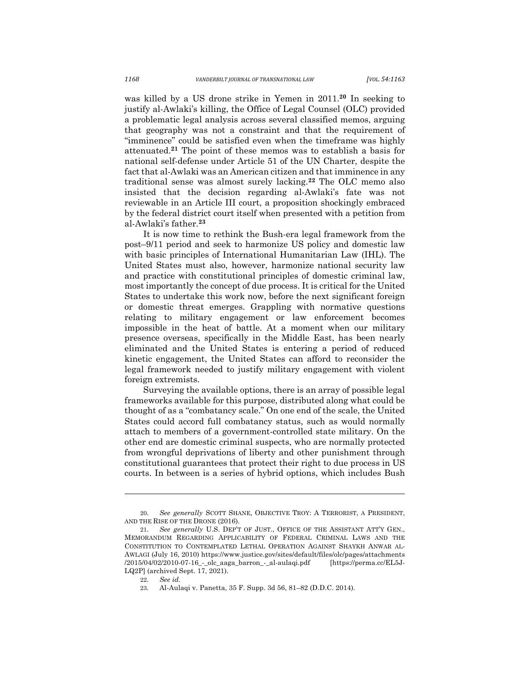was killed by a US drone strike in Yemen in 2011.**<sup>20</sup>** In seeking to justify al-Awlaki's killing, the Office of Legal Counsel (OLC) provided a problematic legal analysis across several classified memos, arguing that geography was not a constraint and that the requirement of "imminence" could be satisfied even when the timeframe was highly attenuated.**<sup>21</sup>** The point of these memos was to establish a basis for national self-defense under Article 51 of the UN Charter, despite the fact that al-Awlaki was an American citizen and that imminence in any traditional sense was almost surely lacking. **<sup>22</sup>** The OLC memo also insisted that the decision regarding al-Awlaki's fate was not reviewable in an Article III court, a proposition shockingly embraced by the federal district court itself when presented with a petition from al-Awlaki's father. **23**

It is now time to rethink the Bush-era legal framework from the post–9/11 period and seek to harmonize US policy and domestic law with basic principles of International Humanitarian Law (IHL). The United States must also, however, harmonize national security law and practice with constitutional principles of domestic criminal law, most importantly the concept of due process. It is critical for the United States to undertake this work now, before the next significant foreign or domestic threat emerges. Grappling with normative questions relating to military engagement or law enforcement becomes impossible in the heat of battle. At a moment when our military presence overseas, specifically in the Middle East, has been nearly eliminated and the United States is entering a period of reduced kinetic engagement, the United States can afford to reconsider the legal framework needed to justify military engagement with violent foreign extremists.

Surveying the available options, there is an array of possible legal frameworks available for this purpose, distributed along what could be thought of as a "combatancy scale." On one end of the scale, the United States could accord full combatancy status, such as would normally attach to members of a government-controlled state military. On the other end are domestic criminal suspects, who are normally protected from wrongful deprivations of liberty and other punishment through constitutional guarantees that protect their right to due process in US courts. In between is a series of hybrid options, which includes Bush

<sup>20.</sup> *See generally* SCOTT SHANE, OBJECTIVE TROY: A TERRORIST, A PRESIDENT, AND THE RISE OF THE DRONE (2016).

<sup>21.</sup> *See generally* U.S. DEP'T OF JUST., OFFICE OF THE ASSISTANT ATT'Y GEN., MEMORANDUM REGARDING APPLICABILITY OF FEDERAL CRIMINAL LAWS AND THE CONSTITUTION TO CONTEMPLATED LETHAL OPERATION AGAINST SHAYKH ANWAR AL-AWLAGI (July 16, 2010) https://www.justice.gov/sites/default/files/olc/pages/attachments /2015/04/02/2010-07-16\_-\_olc\_aaga\_barron\_-\_al-aulaqi.pdf [https://perma.cc/EL5J-LQ2P] (archived Sept. 17, 2021).

<sup>22.</sup> *See id.*

<sup>23.</sup> Al-Aulaqi v. Panetta, 35 F. Supp. 3d 56, 81–82 (D.D.C. 2014).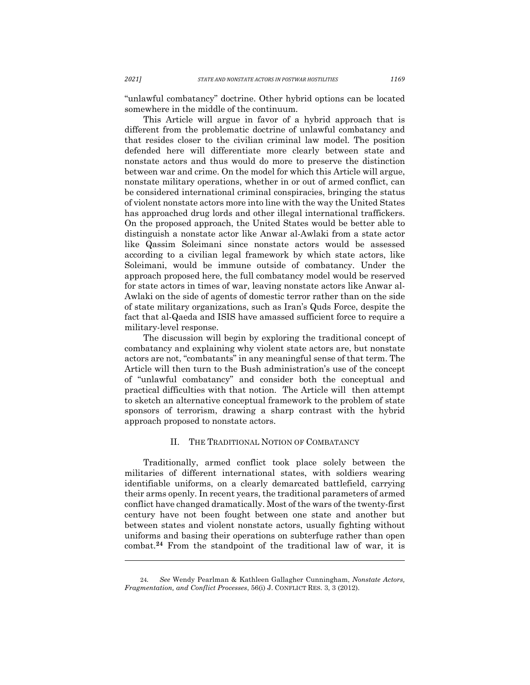"unlawful combatancy" doctrine. Other hybrid options can be located somewhere in the middle of the continuum.

This Article will argue in favor of a hybrid approach that is different from the problematic doctrine of unlawful combatancy and that resides closer to the civilian criminal law model. The position defended here will differentiate more clearly between state and nonstate actors and thus would do more to preserve the distinction between war and crime. On the model for which this Article will argue, nonstate military operations, whether in or out of armed conflict, can be considered international criminal conspiracies, bringing the status of violent nonstate actors more into line with the way the United States has approached drug lords and other illegal international traffickers. On the proposed approach, the United States would be better able to distinguish a nonstate actor like Anwar al-Awlaki from a state actor like Qassim Soleimani since nonstate actors would be assessed according to a civilian legal framework by which state actors, like Soleimani, would be immune outside of combatancy. Under the approach proposed here, the full combatancy model would be reserved for state actors in times of war, leaving nonstate actors like Anwar al-Awlaki on the side of agents of domestic terror rather than on the side of state military organizations, such as Iran's Quds Force, despite the fact that al-Qaeda and ISIS have amassed sufficient force to require a military-level response.

The discussion will begin by exploring the traditional concept of combatancy and explaining why violent state actors are, but nonstate actors are not, "combatants" in any meaningful sense of that term. The Article will then turn to the Bush administration's use of the concept of "unlawful combatancy" and consider both the conceptual and practical difficulties with that notion. The Article will then attempt to sketch an alternative conceptual framework to the problem of state sponsors of terrorism, drawing a sharp contrast with the hybrid approach proposed to nonstate actors.

### II. THE TRADITIONAL NOTION OF COMBATANCY

Traditionally, armed conflict took place solely between the militaries of different international states, with soldiers wearing identifiable uniforms, on a clearly demarcated battlefield, carrying their arms openly. In recent years, the traditional parameters of armed conflict have changed dramatically. Most of the wars of the twenty-first century have not been fought between one state and another but between states and violent nonstate actors, usually fighting without uniforms and basing their operations on subterfuge rather than open combat. **<sup>24</sup>** From the standpoint of the traditional law of war, it is

<sup>24</sup>*. See* Wendy Pearlman & Kathleen Gallagher Cunningham, *Nonstate Actors, Fragmentation, and Conflict Processes*, 56(i) J. CONFLICT RES. 3, 3 (2012).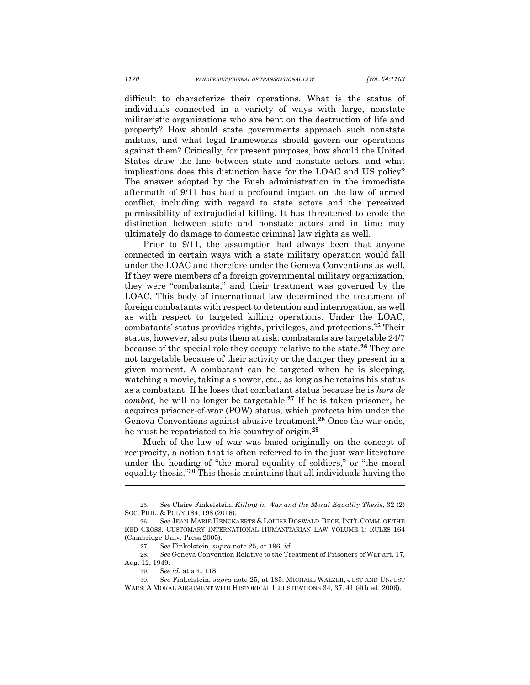difficult to characterize their operations. What is the status of individuals connected in a variety of ways with large, nonstate militaristic organizations who are bent on the destruction of life and property? How should state governments approach such nonstate militias, and what legal frameworks should govern our operations against them? Critically, for present purposes, how should the United States draw the line between state and nonstate actors, and what implications does this distinction have for the LOAC and US policy? The answer adopted by the Bush administration in the immediate aftermath of 9/11 has had a profound impact on the law of armed conflict, including with regard to state actors and the perceived permissibility of extrajudicial killing. It has threatened to erode the distinction between state and nonstate actors and in time may ultimately do damage to domestic criminal law rights as well.

Prior to 9/11, the assumption had always been that anyone connected in certain ways with a state military operation would fall under the LOAC and therefore under the Geneva Conventions as well. If they were members of a foreign governmental military organization, they were "combatants," and their treatment was governed by the LOAC. This body of international law determined the treatment of foreign combatants with respect to detention and interrogation, as well as with respect to targeted killing operations. Under the LOAC, combatants' status provides rights, privileges, and protections.**<sup>25</sup>** Their status, however, also puts them at risk: combatants are targetable 24/7 because of the special role they occupy relative to the state.**<sup>26</sup>** They are not targetable because of their activity or the danger they present in a given moment. A combatant can be targeted when he is sleeping, watching a movie, taking a shower, etc., as long as he retains his status as a combatant. If he loses that combatant status because he is *hors de combat,* he will no longer be targetable.**<sup>27</sup>** If he is taken prisoner, he acquires prisoner-of-war (POW) status, which protects him under the Geneva Conventions against abusive treatment.**<sup>28</sup>** Once the war ends, he must be repatriated to his country of origin.**<sup>29</sup>**

Much of the law of war was based originally on the concept of reciprocity, a notion that is often referred to in the just war literature under the heading of "the moral equality of soldiers," or "the moral equality thesis."**<sup>30</sup>** This thesis maintains that all individuals having the

<sup>25.</sup> *See* Claire Finkelstein, *Killing in War and the Moral Equality Thesis*, 32 (2) SOC. PHIL. & POL'Y 184, 198 (2016).

<sup>26.</sup> *See* JEAN-MARIE HENCKAERTS & LOUISE DOSWALD-BECK, INT'L COMM. OF THE RED CROSS, CUSTOMARY INTERNATIONAL HUMANITARIAN LAW VOLUME 1: RULES 164 (Cambridge Univ. Press 2005).

<sup>27.</sup> *See* Finkelstein, *supra* note 25, at 196; *id.* 

<sup>28.</sup> *See* Geneva Convention Relative to the Treatment of Prisoners of War art. 17, Aug. 12, 1949.

<sup>29.</sup> *See id.* at art. 118.

<sup>30.</sup> *See* Finkelstein, *supra* note 25, at 185; MICHAEL WALZER, JUST AND UNJUST WARS: A MORAL ARGUMENT WITH HISTORICAL ILLUSTRATIONS 34, 37, 41 (4th ed. 2006).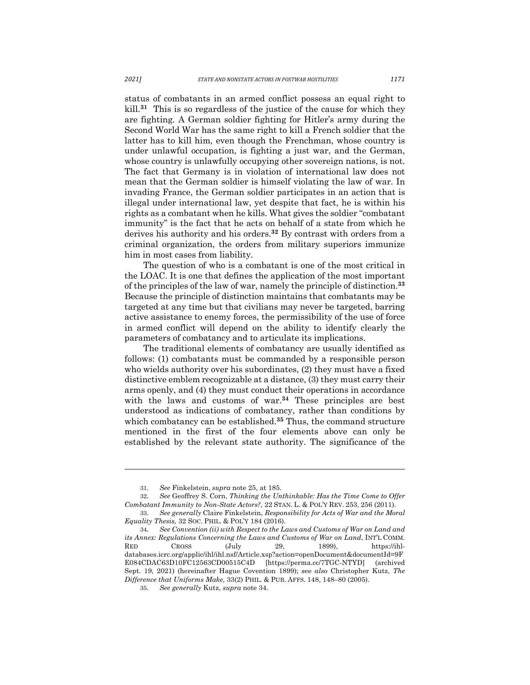status of combatants in an armed conflict possess an equal right to kill.**<sup>31</sup>** This is so regardless of the justice of the cause for which they are fighting. A German soldier fighting for Hitler's army during the Second World War has the same right to kill a French soldier that the latter has to kill him, even though the Frenchman, whose country is under unlawful occupation, is fighting a just war, and the German, whose country is unlawfully occupying other sovereign nations, is not. The fact that Germany is in violation of international law does not mean that the German soldier is himself violating the law of war. In invading France, the German soldier participates in an action that is illegal under international law, yet despite that fact, he is within his rights as a combatant when he kills. What gives the soldier "combatant immunity" is the fact that he acts on behalf of a state from which he derives his authority and his orders.**<sup>32</sup>** By contrast with orders from a criminal organization, the orders from military superiors immunize him in most cases from liability.

The question of who is a combatant is one of the most critical in the LOAC. It is one that defines the application of the most important of the principles of the law of war, namely the principle of distinction.**<sup>33</sup>** Because the principle of distinction maintains that combatants may be targeted at any time but that civilians may never be targeted, barring active assistance to enemy forces, the permissibility of the use of force in armed conflict will depend on the ability to identify clearly the parameters of combatancy and to articulate its implications.

The traditional elements of combatancy are usually identified as follows: (1) combatants must be commanded by a responsible person who wields authority over his subordinates, (2) they must have a fixed distinctive emblem recognizable at a distance, (3) they must carry their arms openly, and (4) they must conduct their operations in accordance with the laws and customs of war.<sup>34</sup> These principles are best understood as indications of combatancy, rather than conditions by which combatancy can be established.**<sup>35</sup>** Thus, the command structure mentioned in the first of the four elements above can only be established by the relevant state authority. The significance of the

<sup>31.</sup> *See* Finkelstein, *supra* note 25, at 185.

<sup>32.</sup> *See* Geoffrey S. Corn, *Thinking the Unthinkable: Has the Time Come to Offer Combatant Immunity to Non-State Actors?*, 22 STAN. L. & POL'Y REV. 253, 256 (2011).

<sup>33.</sup> *See generally* Claire Finkelstein, *Responsibility for Acts of War and the Moral Equality Thesis,* 32 SOC. PHIL. & POL'Y 184 (2016).

<sup>34.</sup> *See Convention (ii) with Respect to the Laws and Customs of War on Land and its Annex: Regulations Concerning the Laws and Customs of War on Land*, INT'L COMM. RED CROSS (July 29, 1899), https://ihldatabases.icrc.org/applic/ihl/ihl.nsf/Article.xsp?action=openDocument&documentId=9F E084CDAC63D10FC12563CD00515C4D [https://perma.cc/7TGC-NTYD] (archived Sept. 19, 2021) (hereinafter Hague Covention 1899); *s*ee *also* Christopher Kutz, *The Difference that Uniforms Make,* 33(2) PHIL. & PUB. AFFS. 148, 148–80 (2005).

<sup>35.</sup> *See generally* Kutz, *supra* note 34.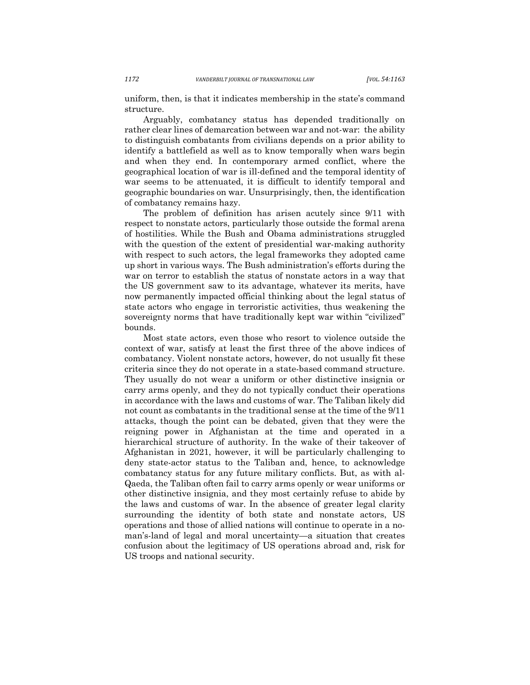uniform, then, is that it indicates membership in the state's command structure.

Arguably, combatancy status has depended traditionally on rather clear lines of demarcation between war and not-war: the ability to distinguish combatants from civilians depends on a prior ability to identify a battlefield as well as to know temporally when wars begin and when they end. In contemporary armed conflict, where the geographical location of war is ill-defined and the temporal identity of war seems to be attenuated, it is difficult to identify temporal and geographic boundaries on war. Unsurprisingly, then, the identification of combatancy remains hazy.

The problem of definition has arisen acutely since 9/11 with respect to nonstate actors, particularly those outside the formal arena of hostilities. While the Bush and Obama administrations struggled with the question of the extent of presidential war-making authority with respect to such actors, the legal frameworks they adopted came up short in various ways. The Bush administration's efforts during the war on terror to establish the status of nonstate actors in a way that the US government saw to its advantage, whatever its merits, have now permanently impacted official thinking about the legal status of state actors who engage in terroristic activities, thus weakening the sovereignty norms that have traditionally kept war within "civilized" bounds.

Most state actors, even those who resort to violence outside the context of war, satisfy at least the first three of the above indices of combatancy. Violent nonstate actors, however, do not usually fit these criteria since they do not operate in a state-based command structure. They usually do not wear a uniform or other distinctive insignia or carry arms openly, and they do not typically conduct their operations in accordance with the laws and customs of war. The Taliban likely did not count as combatants in the traditional sense at the time of the 9/11 attacks, though the point can be debated, given that they were the reigning power in Afghanistan at the time and operated in a hierarchical structure of authority. In the wake of their takeover of Afghanistan in 2021, however, it will be particularly challenging to deny state-actor status to the Taliban and, hence, to acknowledge combatancy status for any future military conflicts. But, as with al-Qaeda, the Taliban often fail to carry arms openly or wear uniforms or other distinctive insignia, and they most certainly refuse to abide by the laws and customs of war. In the absence of greater legal clarity surrounding the identity of both state and nonstate actors, US operations and those of allied nations will continue to operate in a noman's-land of legal and moral uncertainty—a situation that creates confusion about the legitimacy of US operations abroad and, risk for US troops and national security.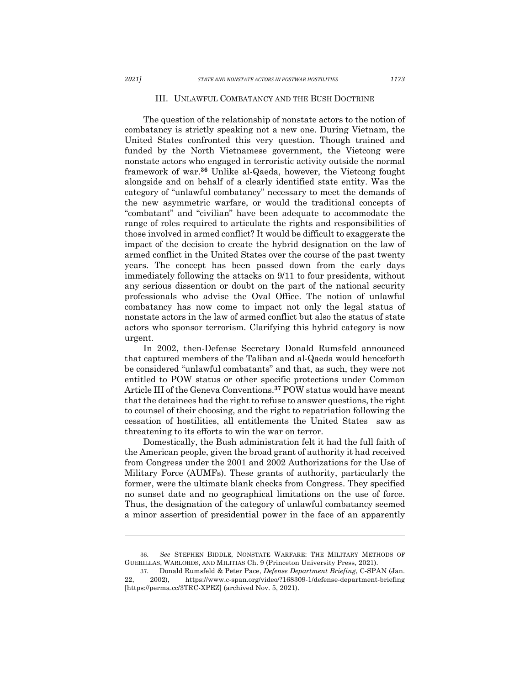#### III. UNLAWFUL COMBATANCY AND THE BUSH DOCTRINE

The question of the relationship of nonstate actors to the notion of combatancy is strictly speaking not a new one. During Vietnam, the United States confronted this very question. Though trained and funded by the North Vietnamese government, the Vietcong were nonstate actors who engaged in terroristic activity outside the normal framework of war.**<sup>36</sup>** Unlike al-Qaeda, however, the Vietcong fought alongside and on behalf of a clearly identified state entity. Was the category of "unlawful combatancy" necessary to meet the demands of the new asymmetric warfare, or would the traditional concepts of "combatant" and "civilian" have been adequate to accommodate the range of roles required to articulate the rights and responsibilities of those involved in armed conflict? It would be difficult to exaggerate the impact of the decision to create the hybrid designation on the law of armed conflict in the United States over the course of the past twenty years. The concept has been passed down from the early days immediately following the attacks on 9/11 to four presidents, without any serious dissention or doubt on the part of the national security professionals who advise the Oval Office. The notion of unlawful combatancy has now come to impact not only the legal status of nonstate actors in the law of armed conflict but also the status of state actors who sponsor terrorism. Clarifying this hybrid category is now urgent.

In 2002, then-Defense Secretary Donald Rumsfeld announced that captured members of the Taliban and al-Qaeda would henceforth be considered "unlawful combatants" and that, as such, they were not entitled to POW status or other specific protections under Common Article III of the Geneva Conventions.**<sup>37</sup>** POW status would have meant that the detainees had the right to refuse to answer questions, the right to counsel of their choosing, and the right to repatriation following the cessation of hostilities, all entitlements the United States saw as threatening to its efforts to win the war on terror.

Domestically, the Bush administration felt it had the full faith of the American people, given the broad grant of authority it had received from Congress under the 2001 and 2002 Authorizations for the Use of Military Force (AUMFs). These grants of authority, particularly the former, were the ultimate blank checks from Congress. They specified no sunset date and no geographical limitations on the use of force. Thus, the designation of the category of unlawful combatancy seemed a minor assertion of presidential power in the face of an apparently

<sup>36.</sup> *See* STEPHEN BIDDLE, NONSTATE WARFARE: THE MILITARY METHODS OF GUERILLAS, WARLORDS, AND MILITIAS Ch. 9 (Princeton University Press, 2021).

<sup>37.</sup> Donald Rumsfeld & Peter Pace, *Defense Department Briefing*, C-SPAN (Jan. 22, 2002), https://www.c-span.org/video/?168309-1/defense-department-briefing [https://perma.cc/3TRC-XPEZ] (archived Nov. 5, 2021).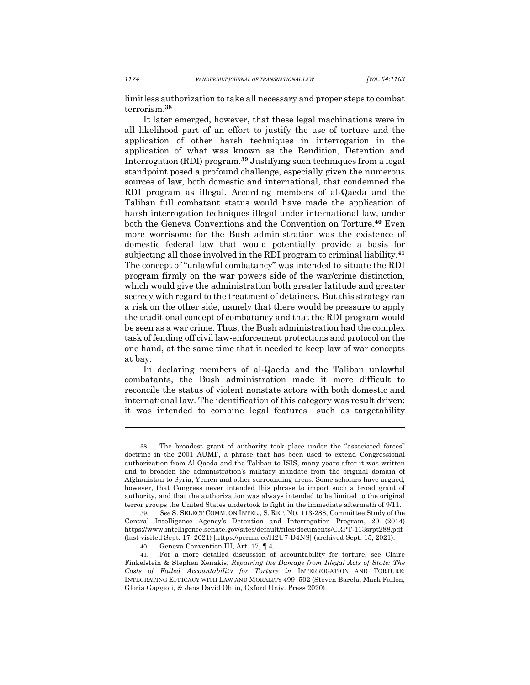limitless authorization to take all necessary and proper steps to combat terrorism.**<sup>38</sup>**

It later emerged, however, that these legal machinations were in all likelihood part of an effort to justify the use of torture and the application of other harsh techniques in interrogation in the application of what was known as the Rendition, Detention and Interrogation (RDI) program.**<sup>39</sup>** Justifying such techniques from a legal standpoint posed a profound challenge, especially given the numerous sources of law, both domestic and international, that condemned the RDI program as illegal. According members of al-Qaeda and the Taliban full combatant status would have made the application of harsh interrogation techniques illegal under international law, under both the Geneva Conventions and the Convention on Torture.**<sup>40</sup>** Even more worrisome for the Bush administration was the existence of domestic federal law that would potentially provide a basis for subjecting all those involved in the RDI program to criminal liability.**<sup>41</sup>** The concept of "unlawful combatancy" was intended to situate the RDI program firmly on the war powers side of the war/crime distinction, which would give the administration both greater latitude and greater secrecy with regard to the treatment of detainees. But this strategy ran a risk on the other side, namely that there would be pressure to apply the traditional concept of combatancy and that the RDI program would be seen as a war crime. Thus, the Bush administration had the complex task of fending off civil law-enforcement protections and protocol on the one hand, at the same time that it needed to keep law of war concepts at bay.

In declaring members of al-Qaeda and the Taliban unlawful combatants, the Bush administration made it more difficult to reconcile the status of violent nonstate actors with both domestic and international law. The identification of this category was result driven: it was intended to combine legal features––such as targetability

<sup>38.</sup> The broadest grant of authority took place under the "associated forces" doctrine in the 2001 AUMF, a phrase that has been used to extend Congressional authorization from Al-Qaeda and the Taliban to ISIS, many years after it was written and to broaden the administration's military mandate from the original domain of Afghanistan to Syria, Yemen and other surrounding areas. Some scholars have argued, however, that Congress never intended this phrase to import such a broad grant of authority, and that the authorization was always intended to be limited to the original terror groups the United States undertook to fight in the immediate aftermath of 9/11.

<sup>39.</sup> *See* S. SELECT COMM. ON INTEL., S. REP. NO. 113-288, Committee Study of the Central Intelligence Agency's Detention and Interrogation Program, 20 (2014) https://www.intelligence.senate.gov/sites/default/files/documents/CRPT-113srpt288.pdf (last visited Sept. 17, 2021) [https://perma.cc/H2U7-D4NS] (archived Sept. 15, 2021).

<sup>40.</sup> Geneva Convention III, Art. 17, ¶ 4.

<sup>41.</sup> For a more detailed discussion of accountability for torture, see Claire Finkelstein & Stephen Xenakis, *Repairing the Damage from Illegal Acts of State: The Costs of Failed Accountability for Torture in* INTERROGATION AND TORTURE: INTEGRATING EFFICACY WITH LAW AND MORALITY 499–502 (Steven Barela, Mark Fallon, Gloria Gaggioli, & Jens David Ohlin, Oxford Univ. Press 2020).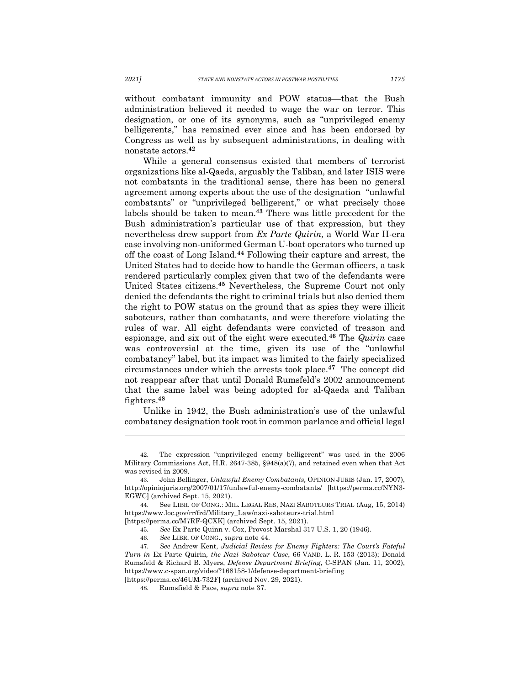without combatant immunity and POW status––that the Bush administration believed it needed to wage the war on terror. This designation, or one of its synonyms, such as "unprivileged enemy belligerents," has remained ever since and has been endorsed by Congress as well as by subsequent administrations, in dealing with nonstate actors. **42**

While a general consensus existed that members of terrorist organizations like al-Qaeda, arguably the Taliban, and later ISIS were not combatants in the traditional sense, there has been no general agreement among experts about the use of the designation "unlawful combatants" or "unprivileged belligerent," or what precisely those labels should be taken to mean.**<sup>43</sup>** There was little precedent for the Bush administration's particular use of that expression, but they nevertheless drew support from *Ex Parte Quirin,* a World War II-era case involving non-uniformed German U-boat operators who turned up off the coast of Long Island.**<sup>44</sup>** Following their capture and arrest, the United States had to decide how to handle the German officers, a task rendered particularly complex given that two of the defendants were United States citizens.**<sup>45</sup>** Nevertheless, the Supreme Court not only denied the defendants the right to criminal trials but also denied them the right to POW status on the ground that as spies they were illicit saboteurs, rather than combatants, and were therefore violating the rules of war. All eight defendants were convicted of treason and espionage, and six out of the eight were executed.**<sup>46</sup>** The *Quirin* case was controversial at the time, given its use of the "unlawful combatancy" label, but its impact was limited to the fairly specialized circumstances under which the arrests took place.**<sup>47</sup>** The concept did not reappear after that until Donald Rumsfeld's 2002 announcement that the same label was being adopted for al-Qaeda and Taliban fighters.**<sup>48</sup>**

Unlike in 1942, the Bush administration's use of the unlawful combatancy designation took root in common parlance and official legal

<sup>42.</sup> The expression "unprivileged enemy belligerent" was used in the 2006 Military Commissions Act, H.R. 2647-385, §948(a)(7), and retained even when that Act was revised in 2009.

<sup>43.</sup> John Bellinger, *Unlawful Enemy Combatants,* OPINION JURIS (Jan. 17, 2007), http://opiniojuris.org/2007/01/17/unlawful-enemy-combatants/ [https://perma.cc/NYN3- EGWC] (archived Sept. 15, 2021).

<sup>44.</sup> See LIBR. OF CONG.: MIL. LEGAL RES, NAZI SABOTEURS TRIAL (Aug, 15, 2014) https://www.loc.gov/rr/frd/Military\_Law/nazi-saboteurs-trial.html

<sup>[</sup>https://perma.cc/M7RF-QCXK] (archived Sept. 15, 2021).

<sup>45.</sup> *See* Ex Parte Quinn v. Cox, Provost Marshal 317 U.S. 1, 20 (1946).

<sup>46.</sup> *See* LIBR. OF CONG., *supra* note 44.

<sup>47.</sup> *See* Andrew Kent, *Judicial Review for Enemy Fighters: The Court's Fateful Turn in* Ex Parte Quirin*, the Nazi Saboteur Case*, 66 VAND. L. R. 153 (2013); Donald Rumsfeld & Richard B. Myers, *Defense Department Briefing*, C-SPAN (Jan. 11, 2002), https://www.c-span.org/video/?168158-1/defense-department-briefing [https://perma.cc/46UM-732F] (archived Nov. 29, 2021).

<sup>48.</sup> Rumsfield & Pace, *supra* note 37.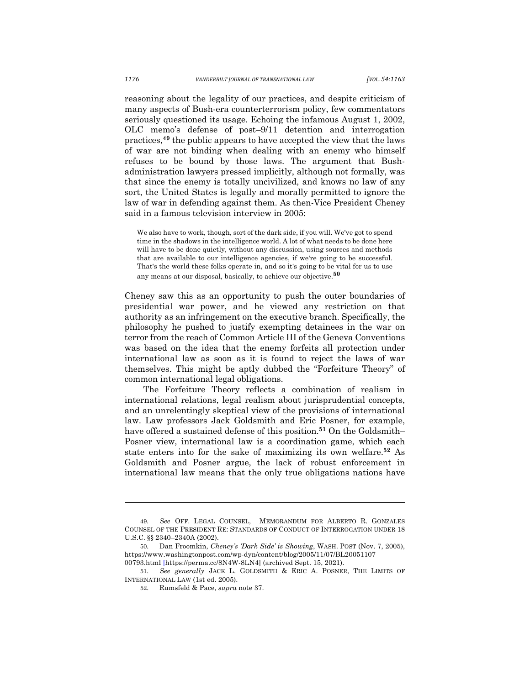reasoning about the legality of our practices, and despite criticism of many aspects of Bush-era counterterrorism policy, few commentators seriously questioned its usage. Echoing the infamous August 1, 2002, OLC memo's defense of post–9/11 detention and interrogation practices,**<sup>49</sup>** the public appears to have accepted the view that the laws of war are not binding when dealing with an enemy who himself refuses to be bound by those laws. The argument that Bushadministration lawyers pressed implicitly, although not formally, was that since the enemy is totally uncivilized, and knows no law of any sort, the United States is legally and morally permitted to ignore the law of war in defending against them. As then-Vice President Cheney said in a famous television interview in 2005:

We also have to work, though, sort of the dark side, if you will. We've got to spend time in the shadows in the intelligence world. A lot of what needs to be done here will have to be done quietly, without any discussion, using sources and methods that are available to our intelligence agencies, if we're going to be successful. That's the world these folks operate in, and so it's going to be vital for us to use any means at our disposal, basically, to achieve our objective. **<sup>50</sup>**

Cheney saw this as an opportunity to push the outer boundaries of presidential war power, and he viewed any restriction on that authority as an infringement on the executive branch. Specifically, the philosophy he pushed to justify exempting detainees in the war on terror from the reach of Common Article III of the Geneva Conventions was based on the idea that the enemy forfeits all protection under international law as soon as it is found to reject the laws of war themselves. This might be aptly dubbed the "Forfeiture Theory" of common international legal obligations.

The Forfeiture Theory reflects a combination of realism in international relations, legal realism about jurisprudential concepts, and an unrelentingly skeptical view of the provisions of international law. Law professors Jack Goldsmith and Eric Posner, for example, have offered a sustained defense of this position.**<sup>51</sup>** On the Goldsmith– Posner view, international law is a coordination game, which each state enters into for the sake of maximizing its own welfare.**<sup>52</sup>** As Goldsmith and Posner argue, the lack of robust enforcement in international law means that the only true obligations nations have

<sup>49.</sup> *See* OFF. LEGAL COUNSEL, MEMORANDUM FOR ALBERTO R. GONZALES COUNSEL OF THE PRESIDENT RE: STANDARDS OF CONDUCT OF INTERROGATION UNDER 18 U.S.C. §§ 2340–2340A (2002).

<sup>50.</sup> Dan Froomkin, *Cheney's 'Dark Side' is Showing*, WASH. POST (Nov. 7, 2005), https://www.washingtonpost.com/wp-dyn/content/blog/2005/11/07/BL20051107 00793.html [https://perma.cc/8N4W-8LN4] (archived Sept. 15, 2021).

<sup>51.</sup> *See generally* JACK L. GOLDSMITH & ERIC A. POSNER, THE LIMITS OF INTERNATIONAL LAW (1st ed. 2005).

<sup>52.</sup> Rumsfeld & Pace, *supra* note 37.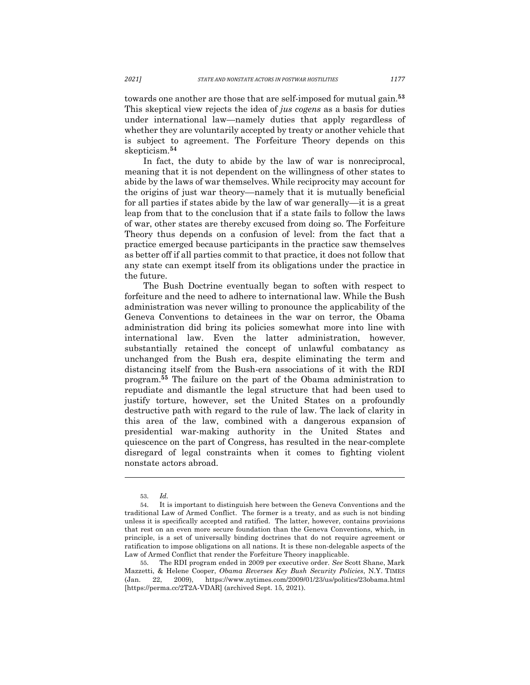towards one another are those that are self-imposed for mutual gain.**<sup>53</sup>** This skeptical view rejects the idea of *jus cogens* as a basis for duties under international law—namely duties that apply regardless of whether they are voluntarily accepted by treaty or another vehicle that is subject to agreement. The Forfeiture Theory depends on this skepticism. **54**

In fact, the duty to abide by the law of war is nonreciprocal, meaning that it is not dependent on the willingness of other states to abide by the laws of war themselves. While reciprocity may account for the origins of just war theory––namely that it is mutually beneficial for all parties if states abide by the law of war generally––it is a great leap from that to the conclusion that if a state fails to follow the laws of war, other states are thereby excused from doing so. The Forfeiture Theory thus depends on a confusion of level: from the fact that a practice emerged because participants in the practice saw themselves as better off if all parties commit to that practice, it does not follow that any state can exempt itself from its obligations under the practice in the future.

The Bush Doctrine eventually began to soften with respect to forfeiture and the need to adhere to international law. While the Bush administration was never willing to pronounce the applicability of the Geneva Conventions to detainees in the war on terror, the Obama administration did bring its policies somewhat more into line with international law. Even the latter administration, however, substantially retained the concept of unlawful combatancy as unchanged from the Bush era, despite eliminating the term and distancing itself from the Bush-era associations of it with the RDI program.**<sup>55</sup>** The failure on the part of the Obama administration to repudiate and dismantle the legal structure that had been used to justify torture, however, set the United States on a profoundly destructive path with regard to the rule of law. The lack of clarity in this area of the law, combined with a dangerous expansion of presidential war-making authority in the United States and quiescence on the part of Congress, has resulted in the near-complete disregard of legal constraints when it comes to fighting violent nonstate actors abroad.

<sup>53.</sup> *Id.* 

<sup>54.</sup> It is important to distinguish here between the Geneva Conventions and the traditional Law of Armed Conflict. The former is a treaty, and as such is not binding unless it is specifically accepted and ratified. The latter, however, contains provisions that rest on an even more secure foundation than the Geneva Conventions, which, in principle, is a set of universally binding doctrines that do not require agreement or ratification to impose obligations on all nations. It is these non-delegable aspects of the Law of Armed Conflict that render the Forfeiture Theory inapplicable.

<sup>55.</sup> The RDI program ended in 2009 per executive order. *See* Scott Shane, Mark Mazzetti, & Helene Cooper, *Obama Reverses Key Bush Security Policies*, N.Y. TIMES (Jan. 22, 2009), https://www.nytimes.com/2009/01/23/us/politics/23obama.html [https://perma.cc/2T2A-VDAR] (archived Sept. 15, 2021).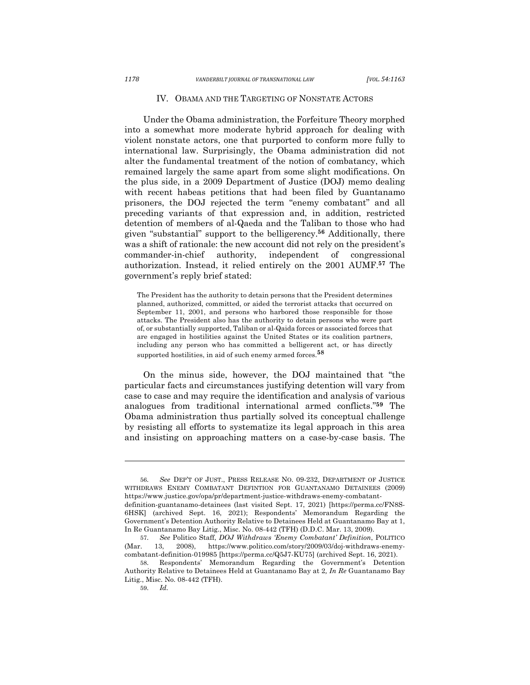#### IV. OBAMA AND THE TARGETING OF NONSTATE ACTORS

Under the Obama administration, the Forfeiture Theory morphed into a somewhat more moderate hybrid approach for dealing with violent nonstate actors, one that purported to conform more fully to international law. Surprisingly, the Obama administration did not alter the fundamental treatment of the notion of combatancy, which remained largely the same apart from some slight modifications. On the plus side, in a 2009 Department of Justice (DOJ) memo dealing with recent habeas petitions that had been filed by Guantanamo prisoners, the DOJ rejected the term "enemy combatant" and all preceding variants of that expression and, in addition, restricted detention of members of al-Qaeda and the Taliban to those who had given "substantial" support to the belligerency.**<sup>56</sup>** Additionally, there was a shift of rationale: the new account did not rely on the president's commander-in-chief authority, independent of congressional authorization. Instead, it relied entirely on the 2001 AUMF.**<sup>57</sup>** The government's reply brief stated:

The President has the authority to detain persons that the President determines planned, authorized, committed, or aided the terrorist attacks that occurred on September 11, 2001, and persons who harbored those responsible for those attacks. The President also has the authority to detain persons who were part of, or substantially supported, Taliban or al-Qaida forces or associated forces that are engaged in hostilities against the United States or its coalition partners, including any person who has committed a belligerent act, or has directly supported hostilities, in aid of such enemy armed forces.**<sup>58</sup>**

On the minus side, however, the DOJ maintained that "the particular facts and circumstances justifying detention will vary from case to case and may require the identification and analysis of various analogues from traditional international armed conflicts."**<sup>59</sup>** The Obama administration thus partially solved its conceptual challenge by resisting all efforts to systematize its legal approach in this area and insisting on approaching matters on a case-by-case basis. The

<sup>56.</sup> *See* DEP'T OF JUST., PRESS RELEASE NO. 09-232, DEPARTMENT OF JUSTICE WITHDRAWS ENEMY COMBATANT DEFINTION FOR GUANTANAMO DETAINEES (2009) https://www.justice.gov/opa/pr/department-justice-withdraws-enemy-combatantdefinition-guantanamo-detainees (last visited Sept. 17, 2021) [https://perma.cc/FN8S-6HSK] (archived Sept. 16, 2021); Respondents' Memorandum Regarding the Government's Detention Authority Relative to Detainees Held at Guantanamo Bay at 1, In Re Guantanamo Bay Litig., Misc. No. 08-442 (TFH) (D.D.C. Mar. 13, 2009).

<sup>57.</sup> *See* Politico Staff, *DOJ Withdraws 'Enemy Combatant' Definition*, POLITICO (Mar. 13, 2008), https://www.politico.com/story/2009/03/doj-withdraws-enemycombatant-definition-019985 [https://perma.cc/Q5J7-KU75] (archived Sept. 16, 2021).

<sup>58.</sup> Respondents' Memorandum Regarding the Government's Detention Authority Relative to Detainees Held at Guantanamo Bay at 2*, In Re* Guantanamo Bay Litig., Misc. No. 08-442 (TFH).

<sup>59.</sup> *Id.*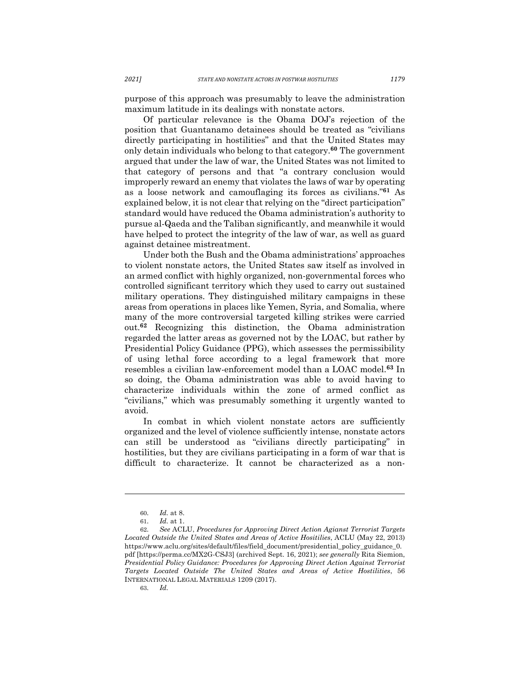purpose of this approach was presumably to leave the administration maximum latitude in its dealings with nonstate actors.

Of particular relevance is the Obama DOJ's rejection of the position that Guantanamo detainees should be treated as "civilians directly participating in hostilities" and that the United States may only detain individuals who belong to that category.**<sup>60</sup>** The government argued that under the law of war, the United States was not limited to that category of persons and that "a contrary conclusion would improperly reward an enemy that violates the laws of war by operating as a loose network and camouflaging its forces as civilians."**<sup>61</sup>** As explained below, it is not clear that relying on the "direct participation" standard would have reduced the Obama administration's authority to pursue al-Qaeda and the Taliban significantly, and meanwhile it would have helped to protect the integrity of the law of war, as well as guard against detainee mistreatment.

Under both the Bush and the Obama administrations' approaches to violent nonstate actors, the United States saw itself as involved in an armed conflict with highly organized, non-governmental forces who controlled significant territory which they used to carry out sustained military operations. They distinguished military campaigns in these areas from operations in places like Yemen, Syria, and Somalia, where many of the more controversial targeted killing strikes were carried out.**<sup>62</sup>** Recognizing this distinction, the Obama administration regarded the latter areas as governed not by the LOAC, but rather by Presidential Policy Guidance (PPG), which assesses the permissibility of using lethal force according to a legal framework that more resembles a civilian law-enforcement model than a LOAC model. **<sup>63</sup>** In so doing, the Obama administration was able to avoid having to characterize individuals within the zone of armed conflict as "civilians," which was presumably something it urgently wanted to avoid.

In combat in which violent nonstate actors are sufficiently organized and the level of violence sufficiently intense, nonstate actors can still be understood as "civilians directly participating" in hostilities, but they are civilians participating in a form of war that is difficult to characterize. It cannot be characterized as a non-

<sup>60.</sup> *Id.* at 8.

<sup>61.</sup> *Id.* at 1.

<sup>62.</sup> *See* ACLU, *Procedures for Approving Direct Action Agianst Terrorist Targets Located Outside the United States and Areas of Active Hositilies*, ACLU (May 22, 2013) https://www.aclu.org/sites/default/files/field\_document/presidential\_policy\_guidance\_0. pdf [https://perma.cc/MX2G-CSJ3] (archived Sept. 16, 2021); *see generally* Rita Siemion, *Presidential Policy Guidance: Procedures for Approving Direct Action Against Terrorist Targets Located Outside The United States and Areas of Active Hostilities*, 56 INTERNATIONAL LEGAL MATERIALS 1209 (2017).

<sup>63.</sup> *Id.*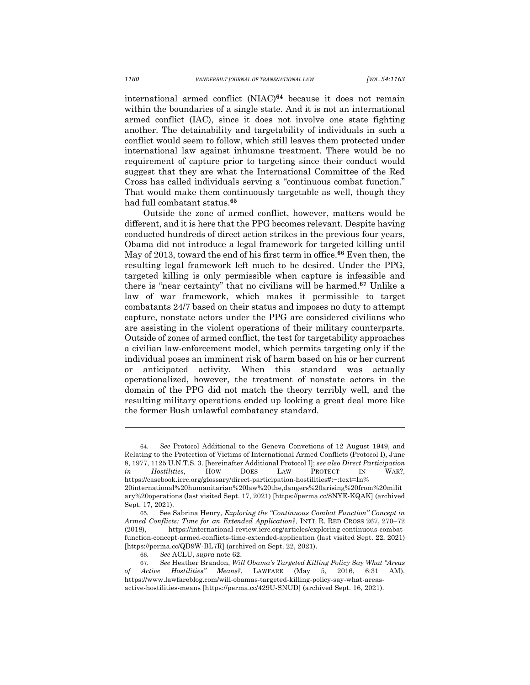international armed conflict (NIAC)**<sup>64</sup>** because it does not remain within the boundaries of a single state. And it is not an international armed conflict (IAC), since it does not involve one state fighting another. The detainability and targetability of individuals in such a conflict would seem to follow, which still leaves them protected under international law against inhumane treatment. There would be no requirement of capture prior to targeting since their conduct would suggest that they are what the International Committee of the Red Cross has called individuals serving a "continuous combat function." That would make them continuously targetable as well, though they had full combatant status. **65**

Outside the zone of armed conflict, however, matters would be different, and it is here that the PPG becomes relevant. Despite having conducted hundreds of direct action strikes in the previous four years, Obama did not introduce a legal framework for targeted killing until May of 2013, toward the end of his first term in office. **<sup>66</sup>** Even then, the resulting legal framework left much to be desired. Under the PPG, targeted killing is only permissible when capture is infeasible and there is "near certainty" that no civilians will be harmed.**<sup>67</sup>** Unlike a law of war framework, which makes it permissible to target combatants 24/7 based on their status and imposes no duty to attempt capture, nonstate actors under the PPG are considered civilians who are assisting in the violent operations of their military counterparts. Outside of zones of armed conflict, the test for targetability approaches a civilian law-enforcement model, which permits targeting only if the individual poses an imminent risk of harm based on his or her current or anticipated activity. When this standard was actually operationalized, however, the treatment of nonstate actors in the domain of the PPG did not match the theory terribly well, and the resulting military operations ended up looking a great deal more like the former Bush unlawful combatancy standard.

<sup>64.</sup> *See* Protocol Additional to the Geneva Convetions of 12 August 1949, and Relating to the Protection of Victims of International Armed Conflicts (Protocol I), June 8, 1977, 1125 U.N.T.S. 3. [hereinafter Additional Protocol I]; *see also Direct Participation in Hostilities*, HOW DOES LAW PROTECT IN WAR?, https://casebook.icrc.org/glossary/direct-participation-hostilities#:~:text=In% 20international%20humanitarian%20law%20the,dangers%20arising%20from%20milit ary%20operations (last visited Sept. 17, 2021) [https://perma.cc/8NYE-KQAK] (archived Sept. 17, 2021).

<sup>65.</sup> See Sabrina Henry, *Exploring the "Continuous Combat Function" Concept in Armed Conflicts: Time for an Extended Application?*, INT'L R. RED CROSS 267, 270–72 (2018), https://international-review.icrc.org/articles/exploring-continuous-combatfunction-concept-armed-conflicts-time-extended-application (last visited Sept. 22, 2021) [https://perma.cc/QD9W-BL7R] (archived on Sept. 22, 2021).

<sup>66.</sup> *See* ACLU, *supra* note 62.

<sup>67.</sup> *See* Heather Brandon, *Will Obama's Targeted Killing Policy Say What "Areas of Active Hostilities" Means?*, LAWFARE (May 5, 2016, 6:31 AM), https://www.lawfareblog.com/will-obamas-targeted-killing-policy-say-what-areasactive-hostilities-means [https://perma.cc/429U-SNUD] (archived Sept. 16, 2021).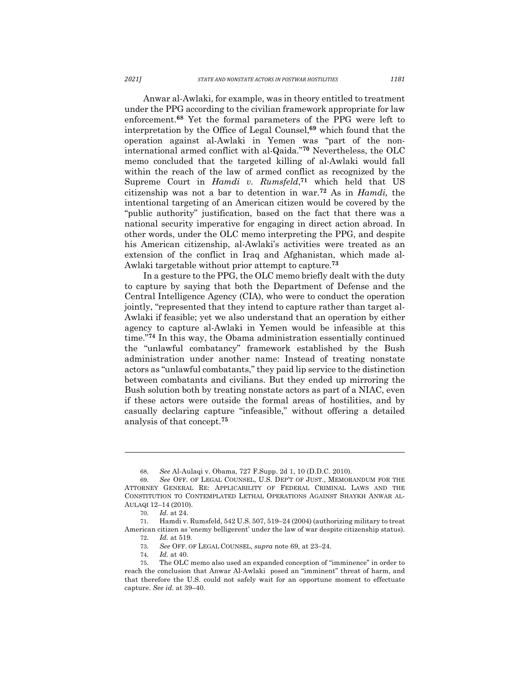Anwar al-Awlaki, for example, was in theory entitled to treatment under the PPG according to the civilian framework appropriate for law enforcement.**<sup>68</sup>** Yet the formal parameters of the PPG were left to interpretation by the Office of Legal Counsel,**<sup>69</sup>** which found that the operation against al-Awlaki in Yemen was "part of the noninternational armed conflict with al-Qaida."**<sup>70</sup>** Nevertheless, the OLC memo concluded that the targeted killing of al-Awlaki would fall within the reach of the law of armed conflict as recognized by the Supreme Court in *Hamdi v. Rumsfeld*, **<sup>71</sup>** which held that US citizenship was not a bar to detention in war.**<sup>72</sup>** As in *Hamdi,* the intentional targeting of an American citizen would be covered by the "public authority" justification, based on the fact that there was a national security imperative for engaging in direct action abroad. In other words, under the OLC memo interpreting the PPG, and despite his American citizenship, al-Awlaki's activities were treated as an extension of the conflict in Iraq and Afghanistan, which made al-Awlaki targetable without prior attempt to capture.**<sup>73</sup>**

In a gesture to the PPG, the OLC memo briefly dealt with the duty to capture by saying that both the Department of Defense and the Central Intelligence Agency (CIA), who were to conduct the operation jointly, "represented that they intend to capture rather than target al-Awlaki if feasible; yet we also understand that an operation by either agency to capture al-Awlaki in Yemen would be infeasible at this time."**<sup>74</sup>** In this way, the Obama administration essentially continued the "unlawful combatancy" framework established by the Bush administration under another name: Instead of treating nonstate actors as "unlawful combatants," they paid lip service to the distinction between combatants and civilians. But they ended up mirroring the Bush solution both by treating nonstate actors as part of a NIAC, even if these actors were outside the formal areas of hostilities, and by casually declaring capture "infeasible," without offering a detailed analysis of that concept.**<sup>75</sup>**

<sup>68.</sup> *See* Al-Aulaqi v. Obama, 727 F.Supp. 2d 1, 10 (D.D.C. 2010).

<sup>69.</sup> *See* OFF. OF LEGAL COUNSEL, U.S. DEP'T OF JUST., MEMORANDUM FOR THE ATTORNEY GENERAL RE: APPLICABILITY OF FEDERAL CRIMINAL LAWS AND THE CONSTITUTION TO CONTEMPLATED LETHAL OPERATIONS AGAINST SHAYKH ANWAR AL-AULAQI 12–14 (2010).

<sup>70.</sup> *Id.* at 24.

<sup>71.</sup> Hamdi v. Rumsfeld, 542 U.S. 507, 519–24 (2004) (authorizing military to treat American citizen as 'enemy belligerent' under the law of war despite citizenship status).

<sup>72.</sup> *Id.* at 519*.* 

<sup>73.</sup> *See* OFF. OF LEGAL COUNSEL, *supra* note 69, at 23–24.

<sup>74.</sup> *Id.* at 40.

<sup>75.</sup> The OLC memo also used an expanded conception of "imminence" in order to reach the conclusion that Anwar Al-Awlaki posed an "imminent" threat of harm, and that therefore the U.S. could not safely wait for an opportune moment to effectuate capture. *See id.* at 39–40.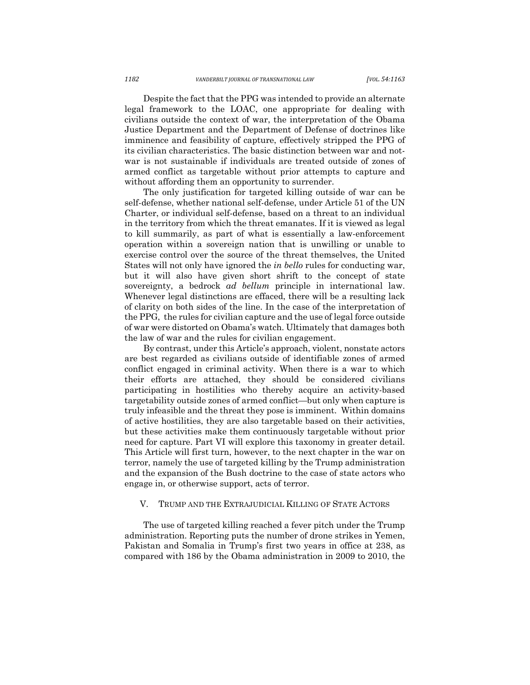Despite the fact that the PPG was intended to provide an alternate legal framework to the LOAC, one appropriate for dealing with civilians outside the context of war, the interpretation of the Obama Justice Department and the Department of Defense of doctrines like imminence and feasibility of capture, effectively stripped the PPG of its civilian characteristics. The basic distinction between war and notwar is not sustainable if individuals are treated outside of zones of armed conflict as targetable without prior attempts to capture and without affording them an opportunity to surrender.

The only justification for targeted killing outside of war can be self-defense, whether national self-defense, under Article 51 of the UN Charter, or individual self-defense, based on a threat to an individual in the territory from which the threat emanates. If it is viewed as legal to kill summarily, as part of what is essentially a law-enforcement operation within a sovereign nation that is unwilling or unable to exercise control over the source of the threat themselves, the United States will not only have ignored the *in bello* rules for conducting war, but it will also have given short shrift to the concept of state sovereignty, a bedrock *ad bellum* principle in international law. Whenever legal distinctions are effaced, there will be a resulting lack of clarity on both sides of the line. In the case of the interpretation of the PPG, the rules for civilian capture and the use of legal force outside of war were distorted on Obama's watch. Ultimately that damages both the law of war and the rules for civilian engagement.

By contrast, under this Article's approach, violent, nonstate actors are best regarded as civilians outside of identifiable zones of armed conflict engaged in criminal activity. When there is a war to which their efforts are attached, they should be considered civilians participating in hostilities who thereby acquire an activity-based targetability outside zones of armed conflict—but only when capture is truly infeasible and the threat they pose is imminent. Within domains of active hostilities, they are also targetable based on their activities, but these activities make them continuously targetable without prior need for capture. Part VI will explore this taxonomy in greater detail. This Article will first turn, however, to the next chapter in the war on terror, namely the use of targeted killing by the Trump administration and the expansion of the Bush doctrine to the case of state actors who engage in, or otherwise support, acts of terror.

#### V. TRUMP AND THE EXTRAJUDICIAL KILLING OF STATE ACTORS

The use of targeted killing reached a fever pitch under the Trump administration. Reporting puts the number of drone strikes in Yemen, Pakistan and Somalia in Trump's first two years in office at 238, as compared with 186 by the Obama administration in 2009 to 2010, the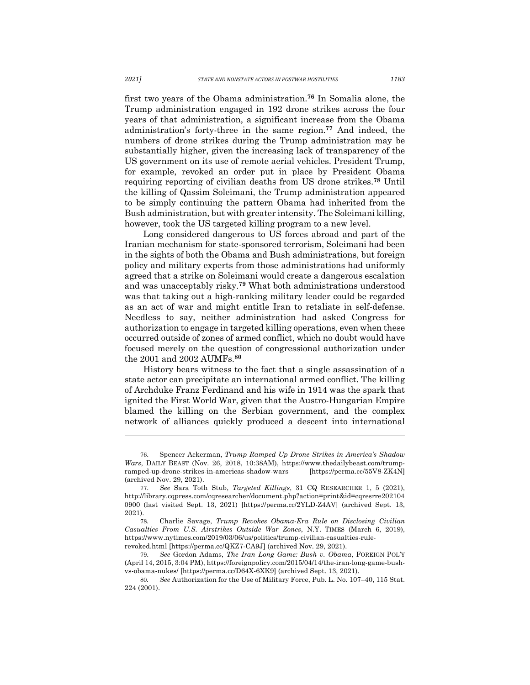first two years of the Obama administration.**<sup>76</sup>** In Somalia alone, the Trump administration engaged in 192 drone strikes across the four years of that administration, a significant increase from the Obama administration's forty-three in the same region.**<sup>77</sup>** And indeed, the numbers of drone strikes during the Trump administration may be substantially higher, given the increasing lack of transparency of the US government on its use of remote aerial vehicles. President Trump, for example, revoked an order put in place by President Obama requiring reporting of civilian deaths from US drone strikes.**<sup>78</sup>** Until the killing of Qassim Soleimani, the Trump administration appeared to be simply continuing the pattern Obama had inherited from the Bush administration, but with greater intensity. The Soleimani killing, however, took the US targeted killing program to a new level.

Long considered dangerous to US forces abroad and part of the Iranian mechanism for state-sponsored terrorism, Soleimani had been in the sights of both the Obama and Bush administrations, but foreign policy and military experts from those administrations had uniformly agreed that a strike on Soleimani would create a dangerous escalation and was unacceptably risky.**<sup>79</sup>** What both administrations understood was that taking out a high-ranking military leader could be regarded as an act of war and might entitle Iran to retaliate in self-defense. Needless to say, neither administration had asked Congress for authorization to engage in targeted killing operations, even when these occurred outside of zones of armed conflict, which no doubt would have focused merely on the question of congressional authorization under the 2001 and 2002 AUMFs. **80**

History bears witness to the fact that a single assassination of a state actor can precipitate an international armed conflict. The killing of Archduke Franz Ferdinand and his wife in 1914 was the spark that ignited the First World War, given that the Austro-Hungarian Empire blamed the killing on the Serbian government, and the complex network of alliances quickly produced a descent into international

<sup>76.</sup> Spencer Ackerman, *Trump Ramped Up Drone Strikes in America's Shadow Wars*, DAILY BEAST (Nov. 26, 2018, 10:38AM), https://www.thedailybeast.com/trumpramped-up-drone-strikes-in-americas-shadow-wars [https://perma.cc/55V8-ZK4N] (archived Nov. 29, 2021).

<sup>77.</sup> *See* Sara Toth Stub, *Targeted Killings*, 31 CQ RESEARCHER 1, 5 (2021), http://library.cqpress.com/cqresearcher/document.php?action=print&id=cqresrre202104 0900 (last visited Sept. 13, 2021) [https://perma.cc/2YLD-Z4AV] (archived Sept. 13, 2021).

<sup>78.</sup> Charlie Savage, *Trump Revokes Obama-Era Rule on Disclosing Civilian Casualties From U.S. Airstrikes Outside War Zones*, N.Y. TIMES (March 6, 2019), https://www.nytimes.com/2019/03/06/us/politics/trump-civilian-casualties-rulerevoked.html [https://perma.cc/QKZ7-CA9J] (archived Nov. 29, 2021).

<sup>79.</sup> *See* Gordon Adams, *The Iran Long Game: Bush v. Obama*, FOREIGN POL'Y (April 14, 2015, 3:04 PM), https://foreignpolicy.com/2015/04/14/the-iran-long-game-bushvs-obama-nukes/ [https://perma.cc/D64X-6XK9] (archived Sept. 13, 2021).

<sup>80</sup>*. See* Authorization for the Use of Military Force, Pub. L. No. 107–40, 115 Stat. 224 (2001).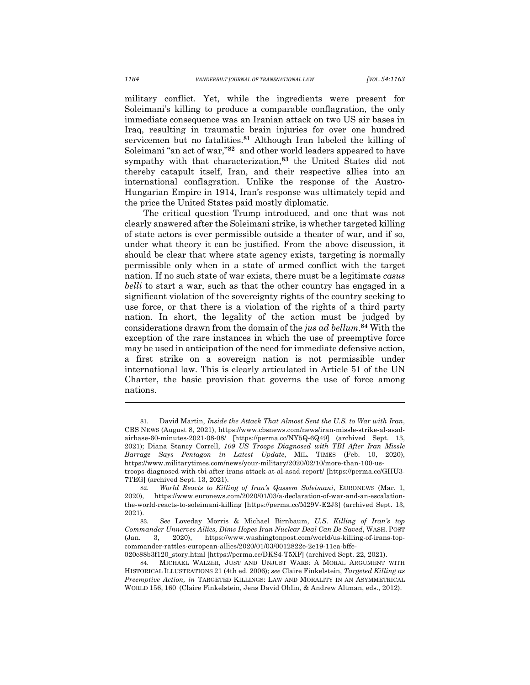military conflict. Yet, while the ingredients were present for Soleimani's killing to produce a comparable conflagration, the only immediate consequence was an Iranian attack on two US air bases in Iraq, resulting in traumatic brain injuries for over one hundred servicemen but no fatalities.**<sup>81</sup>** Although Iran labeled the killing of Soleimani "an act of war,"**<sup>82</sup>** and other world leaders appeared to have sympathy with that characterization, **<sup>83</sup>** the United States did not thereby catapult itself, Iran, and their respective allies into an international conflagration. Unlike the response of the Austro-Hungarian Empire in 1914, Iran's response was ultimately tepid and the price the United States paid mostly diplomatic.

The critical question Trump introduced, and one that was not clearly answered after the Soleimani strike, is whether targeted killing of state actors is ever permissible outside a theater of war, and if so, under what theory it can be justified. From the above discussion, it should be clear that where state agency exists, targeting is normally permissible only when in a state of armed conflict with the target nation. If no such state of war exists, there must be a legitimate *casus belli* to start a war, such as that the other country has engaged in a significant violation of the sovereignty rights of the country seeking to use force, or that there is a violation of the rights of a third party nation. In short, the legality of the action must be judged by considerations drawn from the domain of the *jus ad bellum*. **<sup>84</sup>** With the exception of the rare instances in which the use of preemptive force may be used in anticipation of the need for immediate defensive action, a first strike on a sovereign nation is not permissible under international law. This is clearly articulated in Article 51 of the UN Charter, the basic provision that governs the use of force among nations.

<sup>81.</sup> David Martin, *Inside the Attack That Almost Sent the U.S. to War with Iran*, CBS NEWS (August 8, 2021), https://www.cbsnews.com/news/iran-missle-strike-al-asadairbase-60-minutes-2021-08-08/ [https://perma.cc/NY5Q-6Q49] (archived Sept. 13, 2021); Diana Stancy Correll, *109 US Troops Diagnosed with TBI After Iran Missle Barrage Says Pentagon in Latest Update*, MIL. TIMES (Feb. 10, 2020), https://www.militarytimes.com/news/your-military/2020/02/10/more-than-100-ustroops-diagnosed-with-tbi-after-irans-attack-at-al-asad-report/ [https://perma.cc/GHU3- 7TEG] (archived Sept. 13, 2021).

<sup>82.</sup> *World Reacts to Killing of Iran's Qassem Soleimani*, EURONEWS (Mar. 1, 2020), https://www.euronews.com/2020/01/03/a-declaration-of-war-and-an-escalationthe-world-reacts-to-soleimani-killing [https://perma.cc/M29V-E2J3] (archived Sept. 13, 2021).

<sup>83.</sup> *See* Loveday Morris & Michael Birnbaum, *U.S. Killing of Iran's top Commander Unnerves Allies, Dims Hopes Iran Nuclear Deal Can Be Saved*, WASH. POST (Jan. 3, 2020), https://www.washingtonpost.com/world/us-killing-of-irans-topcommander-rattles-european-allies/2020/01/03/0012822e-2e19-11ea-bffe-020c88b3f120\_story.html [https://perma.cc/DKS4-T5XF] (archived Sept. 22, 2021).

<sup>84.</sup> MICHAEL WALZER, JUST AND UNJUST WARS: A MORAL ARGUMENT WITH HISTORICAL ILLUSTRATIONS 21 (4th ed. 2006); *see* Claire Finkelstein, *Targeted Killing as Preemptive Action, in* TARGETED KILLINGS: LAW AND MORALITY IN AN ASYMMETRICAL WORLD 156, 160 (Claire Finkelstein, Jens David Ohlin, & Andrew Altman, eds., 2012).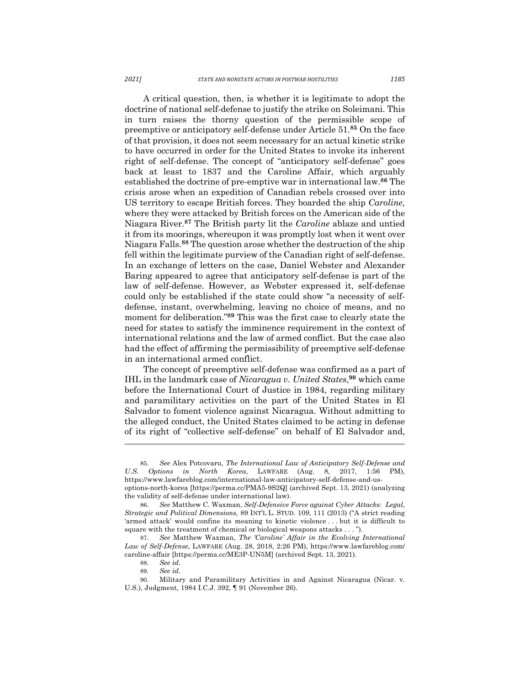A critical question, then, is whether it is legitimate to adopt the doctrine of national self-defense to justify the strike on Soleimani. This in turn raises the thorny question of the permissible scope of preemptive or anticipatory self-defense under Article 51.**<sup>85</sup>** On the face of that provision, it does not seem necessary for an actual kinetic strike to have occurred in order for the United States to invoke its inherent right of self-defense. The concept of "anticipatory self-defense" goes back at least to 1837 and the Caroline Affair, which arguably established the doctrine of pre-emptive war in international law.**<sup>86</sup>** The crisis arose when an expedition of Canadian rebels crossed over into US territory to escape British forces. They boarded the ship *Caroline,*  where they were attacked by British forces on the American side of the Niagara River. **<sup>87</sup>** The British party lit the *Caroline* ablaze and untied it from its moorings, whereupon it was promptly lost when it went over Niagara Falls.**<sup>88</sup>** The question arose whether the destruction of the ship fell within the legitimate purview of the Canadian right of self-defense. In an exchange of letters on the case, Daniel Webster and Alexander Baring appeared to agree that anticipatory self-defense is part of the law of self-defense. However, as Webster expressed it, self-defense could only be established if the state could show "a necessity of selfdefense, instant, overwhelming, leaving no choice of means, and no moment for deliberation."**<sup>89</sup>** This was the first case to clearly state the need for states to satisfy the imminence requirement in the context of international relations and the law of armed conflict. But the case also had the effect of affirming the permissibility of preemptive self-defense in an international armed conflict.

The concept of preemptive self-defense was confirmed as a part of IHL in the landmark case of *Nicaragua v. United States*, **<sup>90</sup>** which came before the International Court of Justice in 1984, regarding military and paramilitary activities on the part of the United States in El Salvador to foment violence against Nicaragua. Without admitting to the alleged conduct, the United States claimed to be acting in defense of its right of "collective self-defense" on behalf of El Salvador and,

<sup>85.</sup> *See* Alex Potcovaru, *The International Law of Anticipatory Self-Defense and U.S. Options in North Korea*, LAWFARE (Aug. 8, 2017, 1:56 PM), https://www.lawfareblog.com/international-law-anticipatory-self-defense-and-usoptions-north-korea [https://perma.cc/PMA5-9S2Q] (archived Sept. 13, 2021) (analyzing the validity of self-defense under international law).

<sup>86.</sup> *See* Matthew C. Waxman, *Self-Defensive Force against Cyber Attacks: Legal, Strategic and Political Dimensions,* 89 INT'L L. STUD. 109, 111 (2013) ("A strict reading 'armed attack' would confine its meaning to kinetic violence . . . but it is difficult to square with the treatment of chemical or biological weapons attacks . . . ").

<sup>87.</sup> *See* Matthew Waxman, *The 'Caroline' Affair in the Evolving International Law of Self-Defense*, LAWFARE (Aug. 28, 2018, 2:26 PM), https://www.lawfareblog.com/ caroline-affair [https://perma.cc/ME3P-UN5M] (archived Sept. 13, 2021).

<sup>88.</sup> *See id.* 

<sup>89.</sup> *See id.* 

<sup>90.</sup> Military and Paramilitary Activities in and Against Nicaragua (Nicar. v. U.S.), Judgment, 1984 I.C.J. 392, ¶ 91 (November 26).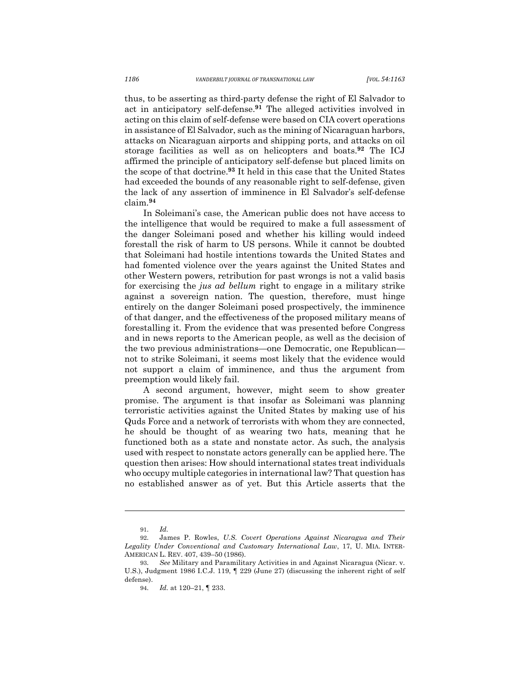thus, to be asserting as third-party defense the right of El Salvador to act in anticipatory self-defense.**<sup>91</sup>** The alleged activities involved in acting on this claim of self-defense were based on CIA covert operations in assistance of El Salvador, such as the mining of Nicaraguan harbors, attacks on Nicaraguan airports and shipping ports, and attacks on oil storage facilities as well as on helicopters and boats.**<sup>92</sup>** The ICJ affirmed the principle of anticipatory self-defense but placed limits on the scope of that doctrine.**<sup>93</sup>** It held in this case that the United States had exceeded the bounds of any reasonable right to self-defense, given the lack of any assertion of imminence in El Salvador's self-defense claim. **94**

In Soleimani's case, the American public does not have access to the intelligence that would be required to make a full assessment of the danger Soleimani posed and whether his killing would indeed forestall the risk of harm to US persons. While it cannot be doubted that Soleimani had hostile intentions towards the United States and had fomented violence over the years against the United States and other Western powers, retribution for past wrongs is not a valid basis for exercising the *jus ad bellum* right to engage in a military strike against a sovereign nation. The question, therefore, must hinge entirely on the danger Soleimani posed prospectively, the imminence of that danger, and the effectiveness of the proposed military means of forestalling it. From the evidence that was presented before Congress and in news reports to the American people, as well as the decision of the two previous administrations—one Democratic, one Republican not to strike Soleimani, it seems most likely that the evidence would not support a claim of imminence, and thus the argument from preemption would likely fail.

A second argument, however, might seem to show greater promise. The argument is that insofar as Soleimani was planning terroristic activities against the United States by making use of his Quds Force and a network of terrorists with whom they are connected, he should be thought of as wearing two hats, meaning that he functioned both as a state and nonstate actor. As such, the analysis used with respect to nonstate actors generally can be applied here. The question then arises: How should international states treat individuals who occupy multiple categories in international law? That question has no established answer as of yet. But this Article asserts that the

<sup>91.</sup> *Id.* 

<sup>92.</sup> James P. Rowles, *U.S. Covert Operations Against Nicaragua and Their Legality Under Conventional and Customary International Law*, 17, U. MIA. INTER-AMERICAN L. REV. 407, 439–50 (1986).

<sup>93.</sup> *See* Military and Paramilitary Activities in and Against Nicaragua (Nicar. v. U.S.), Judgment 1986 I.C.J. 119, ¶ 229 (June 27) (discussing the inherent right of self defense).

<sup>94.</sup> *Id.* at 120–21, ¶ 233.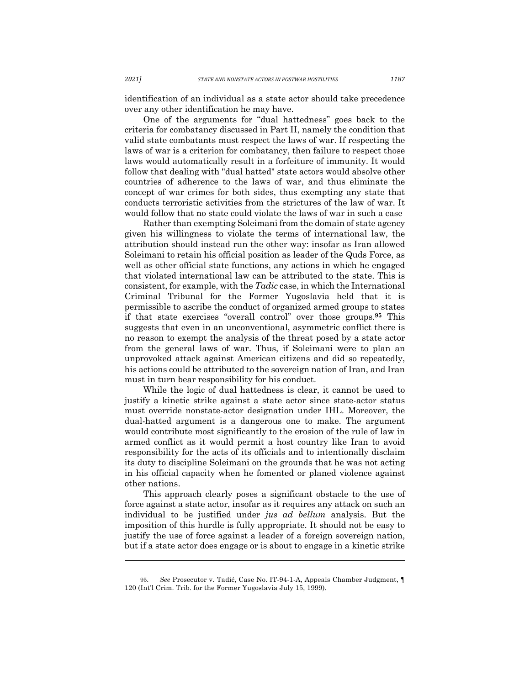identification of an individual as a state actor should take precedence over any other identification he may have.

One of the arguments for "dual hattedness" goes back to the criteria for combatancy discussed in Part II, namely the condition that valid state combatants must respect the laws of war. If respecting the laws of war is a criterion for combatancy, then failure to respect those laws would automatically result in a forfeiture of immunity. It would follow that dealing with "dual hatted" state actors would absolve other countries of adherence to the laws of war, and thus eliminate the concept of war crimes for both sides, thus exempting any state that conducts terroristic activities from the strictures of the law of war. It would follow that no state could violate the laws of war in such a case

Rather than exempting Soleimani from the domain of state agency given his willingness to violate the terms of international law, the attribution should instead run the other way: insofar as Iran allowed Soleimani to retain his official position as leader of the Quds Force, as well as other official state functions, any actions in which he engaged that violated international law can be attributed to the state. This is consistent, for example, with the *Tadic* case, in which the International Criminal Tribunal for the Former Yugoslavia held that it is permissible to ascribe the conduct of organized armed groups to states if that state exercises "overall control" over those groups.**<sup>95</sup>** This suggests that even in an unconventional, asymmetric conflict there is no reason to exempt the analysis of the threat posed by a state actor from the general laws of war. Thus, if Soleimani were to plan an unprovoked attack against American citizens and did so repeatedly, his actions could be attributed to the sovereign nation of Iran, and Iran must in turn bear responsibility for his conduct.

While the logic of dual hattedness is clear, it cannot be used to justify a kinetic strike against a state actor since state-actor status must override nonstate-actor designation under IHL. Moreover, the dual-hatted argument is a dangerous one to make. The argument would contribute most significantly to the erosion of the rule of law in armed conflict as it would permit a host country like Iran to avoid responsibility for the acts of its officials and to intentionally disclaim its duty to discipline Soleimani on the grounds that he was not acting in his official capacity when he fomented or planed violence against other nations.

This approach clearly poses a significant obstacle to the use of force against a state actor, insofar as it requires any attack on such an individual to be justified under *jus ad bellum* analysis. But the imposition of this hurdle is fully appropriate. It should not be easy to justify the use of force against a leader of a foreign sovereign nation, but if a state actor does engage or is about to engage in a kinetic strike

<sup>95.</sup> *See* Prosecutor v. Tadić, Case No. IT-94-1-A, Appeals Chamber Judgment, ¶ 120 (Int'l Crim. Trib. for the Former Yugoslavia July 15, 1999).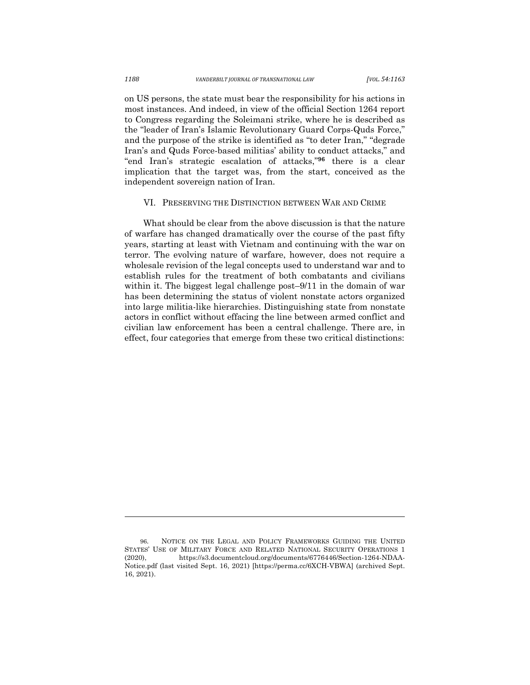on US persons, the state must bear the responsibility for his actions in most instances. And indeed, in view of the official Section 1264 report to Congress regarding the Soleimani strike, where he is described as the "leader of Iran's Islamic Revolutionary Guard Corps-Quds Force," and the purpose of the strike is identified as "to deter Iran," "degrade Iran's and Quds Force-based militias' ability to conduct attacks," and "end Iran's strategic escalation of attacks,"**<sup>96</sup>** there is a clear implication that the target was, from the start, conceived as the independent sovereign nation of Iran.

#### VI. PRESERVING THE DISTINCTION BETWEEN WAR AND CRIME

What should be clear from the above discussion is that the nature of warfare has changed dramatically over the course of the past fifty years, starting at least with Vietnam and continuing with the war on terror. The evolving nature of warfare, however, does not require a wholesale revision of the legal concepts used to understand war and to establish rules for the treatment of both combatants and civilians within it. The biggest legal challenge post–9/11 in the domain of war has been determining the status of violent nonstate actors organized into large militia-like hierarchies. Distinguishing state from nonstate actors in conflict without effacing the line between armed conflict and civilian law enforcement has been a central challenge. There are, in effect, four categories that emerge from these two critical distinctions:

<sup>96.</sup> NOTICE ON THE LEGAL AND POLICY FRAMEWORKS GUIDING THE UNITED STATES' USE OF MILITARY FORCE AND RELATED NATIONAL SECURITY OPERATIONS 1 (2020), https://s3.documentcloud.org/documents/6776446/Section-1264-NDAA-Notice.pdf (last visited Sept. 16, 2021) [https://perma.cc/6XCH-VBWA] (archived Sept. 16, 2021).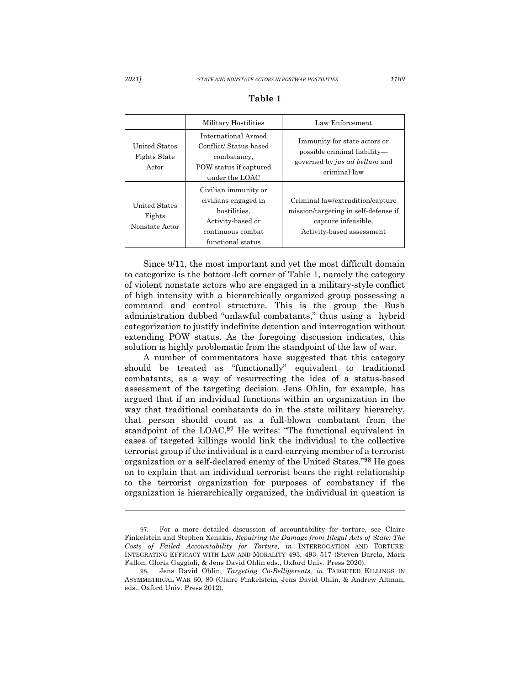|                                                      | Military Hostilities                                                                                                        | Law Enforcement                                                                                                              |
|------------------------------------------------------|-----------------------------------------------------------------------------------------------------------------------------|------------------------------------------------------------------------------------------------------------------------------|
| <b>United States</b><br><b>Fights State</b><br>Actor | International Armed<br>Conflict/Status-based<br>combatancy.<br>POW status if captured<br>under the LOAC                     | Immunity for state actors or<br>possible criminal liability—<br>governed by <i>jus ad bellum</i> and<br>criminal law         |
| <b>United States</b><br>Fights<br>Nonstate Actor     | Civilian immunity or<br>civilians engaged in<br>hostilities.<br>Activity-based or<br>continuous combat<br>functional status | Criminal law/extradition/capture<br>mission/targeting in self-defense if<br>capture infeasible.<br>Activity-based assessment |

#### **Table 1**

Since 9/11, the most important and yet the most difficult domain to categorize is the bottom-left corner of Table 1, namely the category of violent nonstate actors who are engaged in a military-style conflict of high intensity with a hierarchically organized group possessing a command and control structure. This is the group the Bush administration dubbed "unlawful combatants," thus using a hybrid categorization to justify indefinite detention and interrogation without extending POW status. As the foregoing discussion indicates, this solution is highly problematic from the standpoint of the law of war.

A number of commentators have suggested that this category should be treated as "functionally" equivalent to traditional combatants, as a way of resurrecting the idea of a status-based assessment of the targeting decision. Jens Ohlin, for example, has argued that if an individual functions within an organization in the way that traditional combatants do in the state military hierarchy, that person should count as a full-blown combatant from the standpoint of the LOAC.**<sup>97</sup>** He writes: "The functional equivalent in cases of targeted killings would link the individual to the collective terrorist group if the individual is a card-carrying member of a terrorist organization or a self-declared enemy of the United States."**<sup>98</sup>** He goes on to explain that an individual terrorist bears the right relationship to the terrorist organization for purposes of combatancy if the organization is hierarchically organized, the individual in question is

<sup>97.</sup> For a more detailed discussion of accountability for torture, see Claire Finkelstein and Stephen Xenakis, *Repairing the Damage from Illegal Acts of State: The Costs of Failed Accountability for Torture, in* INTERROGATION AND TORTURE: INTEGRATING EFFICACY WITH LAW AND MORALITY 493, 493–517 (Steven Barela, Mark Fallon, Gloria Gaggioli, & Jens David Ohlin eds., Oxford Univ. Press 2020).

<sup>98.</sup> Jens David Ohlin, *Targeting Co-Belligerents, in* TARGETED KILLINGS IN ASYMMETRICAL WAR 60, 80 (Claire Finkelstein, Jens David Ohlin, & Andrew Altman, eds., Oxford Univ. Press 2012).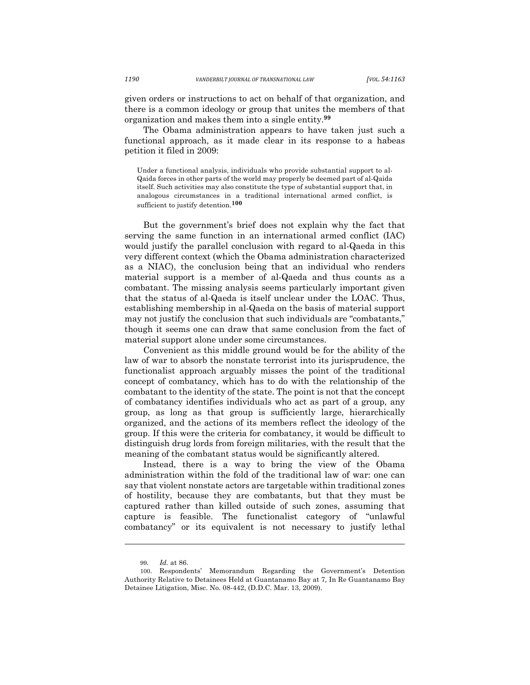given orders or instructions to act on behalf of that organization, and there is a common ideology or group that unites the members of that organization and makes them into a single entity.**<sup>99</sup>**

The Obama administration appears to have taken just such a functional approach, as it made clear in its response to a habeas petition it filed in 2009:

Under a functional analysis, individuals who provide substantial support to al-Qaida forces in other parts of the world may properly be deemed part of al-Qaida itself. Such activities may also constitute the type of substantial support that, in analogous circumstances in a traditional international armed conflict, is sufficient to justify detention.**<sup>100</sup>**

But the government's brief does not explain why the fact that serving the same function in an international armed conflict (IAC) would justify the parallel conclusion with regard to al-Qaeda in this very different context (which the Obama administration characterized as a NIAC), the conclusion being that an individual who renders material support is a member of al-Qaeda and thus counts as a combatant. The missing analysis seems particularly important given that the status of al-Qaeda is itself unclear under the LOAC. Thus, establishing membership in al-Qaeda on the basis of material support may not justify the conclusion that such individuals are "combatants," though it seems one can draw that same conclusion from the fact of material support alone under some circumstances.

Convenient as this middle ground would be for the ability of the law of war to absorb the nonstate terrorist into its jurisprudence, the functionalist approach arguably misses the point of the traditional concept of combatancy, which has to do with the relationship of the combatant to the identity of the state. The point is not that the concept of combatancy identifies individuals who act as part of a group, any group, as long as that group is sufficiently large, hierarchically organized, and the actions of its members reflect the ideology of the group. If this were the criteria for combatancy, it would be difficult to distinguish drug lords from foreign militaries, with the result that the meaning of the combatant status would be significantly altered.

Instead, there is a way to bring the view of the Obama administration within the fold of the traditional law of war: one can say that violent nonstate actors are targetable within traditional zones of hostility, because they are combatants, but that they must be captured rather than killed outside of such zones, assuming that capture is feasible. The functionalist category of "unlawful combatancy" or its equivalent is not necessary to justify lethal

<sup>99.</sup> *Id.* at 86. Respondents' Memorandum Regarding the Government's Detention Authority Relative to Detainees Held at Guantanamo Bay at 7*,* In Re Guantanamo Bay Detainee Litigation, Misc. No. 08-442, (D.D.C. Mar. 13, 2009).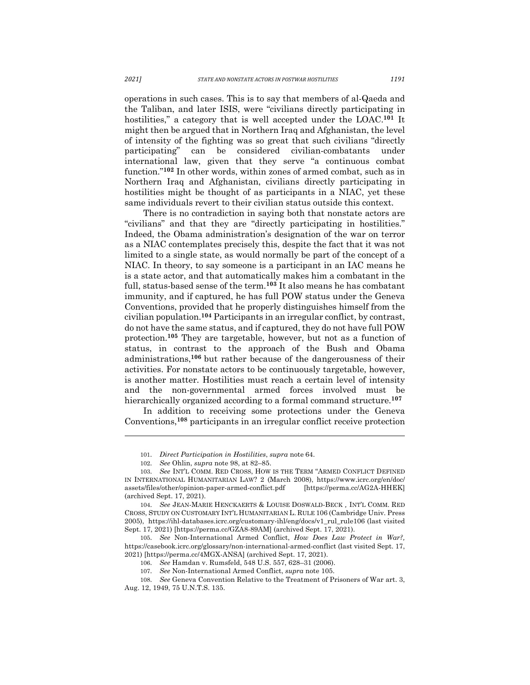operations in such cases. This is to say that members of al-Qaeda and the Taliban, and later ISIS, were "civilians directly participating in hostilities," a category that is well accepted under the LOAC.**<sup>101</sup>** It might then be argued that in Northern Iraq and Afghanistan, the level of intensity of the fighting was so great that such civilians "directly participating" can be considered civilian-combatants under international law, given that they serve "a continuous combat function."**<sup>102</sup>** In other words, within zones of armed combat, such as in Northern Iraq and Afghanistan, civilians directly participating in hostilities might be thought of as participants in a NIAC, yet these same individuals revert to their civilian status outside this context.

There is no contradiction in saying both that nonstate actors are "civilians" and that they are "directly participating in hostilities." Indeed, the Obama administration's designation of the war on terror as a NIAC contemplates precisely this, despite the fact that it was not limited to a single state, as would normally be part of the concept of a NIAC. In theory, to say someone is a participant in an IAC means he is a state actor, and that automatically makes him a combatant in the full, status-based sense of the term.**<sup>103</sup>** It also means he has combatant immunity, and if captured, he has full POW status under the Geneva Conventions, provided that he properly distinguishes himself from the civilian population. **<sup>104</sup>** Participants in an irregular conflict, by contrast, do not have the same status, and if captured, they do not have full POW protection.**<sup>105</sup>** They are targetable, however, but not as a function of status, in contrast to the approach of the Bush and Obama administrations,**<sup>106</sup>** but rather because of the dangerousness of their activities. For nonstate actors to be continuously targetable, however, is another matter. Hostilities must reach a certain level of intensity and the non-governmental armed forces involved must be hierarchically organized according to a formal command structure.**<sup>107</sup>**

In addition to receiving some protections under the Geneva Conventions, **<sup>108</sup>** participants in an irregular conflict receive protection

<sup>101.</sup> *Direct Participation in Hostilities*, *supra* note 64.

<sup>102.</sup> *See* Ohlin, *supra* note 98, at 82–85.

<sup>103.</sup> *See* INT'L COMM. RED CROSS, HOW IS THE TERM "ARMED CONFLICT DEFINED IN INTERNATIONAL HUMANITARIAN LAW? 2 (March 2008), https://www.icrc.org/en/doc/ assets/files/other/opinion-paper-armed-conflict.pdf [https://perma.cc/AG2A-HHEK] (archived Sept. 17, 2021).

<sup>104.</sup> *See* JEAN-MARIE HENCKAERTS & LOUISE DOSWALD-BECK *,* INT'L COMM. RED CROSS, STUDY ON CUSTOMARY INT'L HUMANITARIAN L. RULE 106 (Cambridge Univ. Press 2005), https://ihl-databases.icrc.org/customary-ihl/eng/docs/v1\_rul\_rule106 (last visited Sept. 17, 2021) [https://perma.cc/GZA8-89AM] (archived Sept. 17, 2021).

<sup>105.</sup> *See* Non-International Armed Conflict, *How Does Law Protect in War?,* https://casebook.icrc.org/glossary/non-international-armed-conflict (last visited Sept. 17, 2021) [https://perma.cc/4MGX-ANSA] (archived Sept. 17, 2021).

<sup>106.</sup> *See* Hamdan v. Rumsfeld, 548 U.S. 557, 628–31 (2006).

<sup>107.</sup> *See* Non-International Armed Conflict, *supra* note 105.

<sup>108.</sup> *See* Geneva Convention Relative to the Treatment of Prisoners of War art. 3, Aug. 12, 1949, 75 U.N.T.S. 135.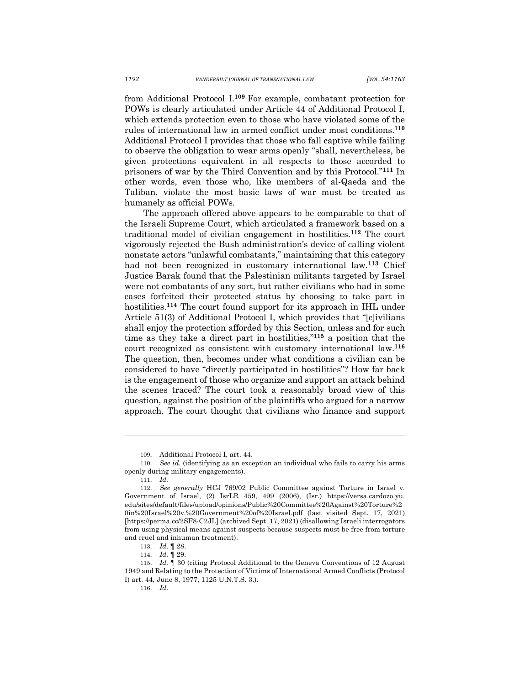from Additional Protocol I.**<sup>109</sup>** For example, combatant protection for POWs is clearly articulated under Article 44 of Additional Protocol I, which extends protection even to those who have violated some of the rules of international law in armed conflict under most conditions.**<sup>110</sup>** Additional Protocol I provides that those who fall captive while failing to observe the obligation to wear arms openly "shall, nevertheless, be given protections equivalent in all respects to those accorded to prisoners of war by the Third Convention and by this Protocol."**<sup>111</sup>** In other words, even those who, like members of al-Qaeda and the Taliban, violate the most basic laws of war must be treated as humanely as official POWs.

The approach offered above appears to be comparable to that of the Israeli Supreme Court, which articulated a framework based on a traditional model of civilian engagement in hostilities.**<sup>112</sup>** The court vigorously rejected the Bush administration's device of calling violent nonstate actors "unlawful combatants," maintaining that this category had not been recognized in customary international law.**<sup>113</sup>** Chief Justice Barak found that the Palestinian militants targeted by Israel were not combatants of any sort, but rather civilians who had in some cases forfeited their protected status by choosing to take part in hostilities.**<sup>114</sup>** The court found support for its approach in IHL under Article 51(3) of Additional Protocol I, which provides that "[c]ivilians shall enjoy the protection afforded by this Section, unless and for such time as they take a direct part in hostilities,"**<sup>115</sup>** a position that the court recognized as consistent with customary international law.**<sup>116</sup>** The question, then, becomes under what conditions a civilian can be considered to have "directly participated in hostilities"? How far back is the engagement of those who organize and support an attack behind the scenes traced? The court took a reasonably broad view of this question, against the position of the plaintiffs who argued for a narrow approach. The court thought that civilians who finance and support

<sup>109.</sup> Additional Protocol I, art. 44.

<sup>110.</sup> *See id.* (identifying as an exception an individual who fails to carry his arms openly during military engagements).

<sup>111.</sup> *Id.*

<sup>112.</sup> *See generally* HCJ 769/02 Public Committee against Torture in Israel v. Government of Israel, (2) IsrLR 459, 499 (2006), (Isr.) https://versa.cardozo.yu. edu/sites/default/files/upload/opinions/Public%20Committee%20Against%20Torture%2 0in%20Israel%20v.%20Government%20of%20Israel.pdf (last visited Sept. 17, 2021) [https://perma.cc/2SF8-C2JL] (archived Sept. 17, 2021) (disallowing Israeli interrogators from using physical means against suspects because suspects must be free from torture and cruel and inhuman treatment).

<sup>113.</sup> *Id.* ¶ 28.

<sup>114.</sup> *Id.* ¶ 29.

<sup>115.</sup> *Id.* ¶ 30 (citing Protocol Additional to the Geneva Conventions of 12 August 1949 and Relating to the Protection of Victims of International Armed Conflicts (Protocol I) art. 44, June 8, 1977, 1125 U.N.T.S. 3.).

<sup>116.</sup> *Id.*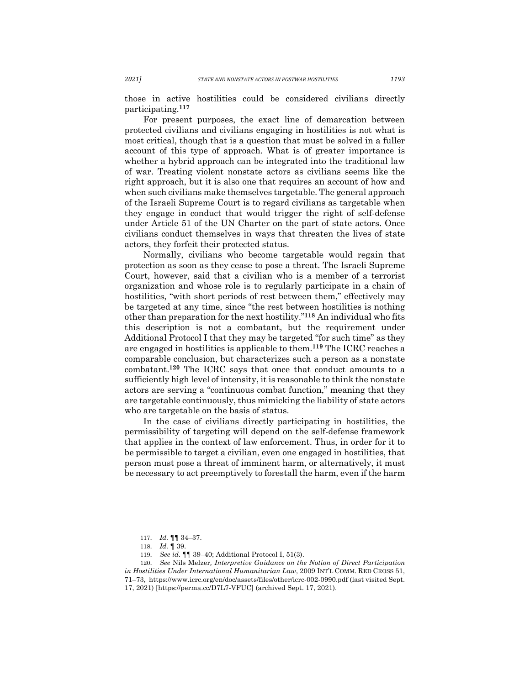those in active hostilities could be considered civilians directly participating.**<sup>117</sup>**

For present purposes, the exact line of demarcation between protected civilians and civilians engaging in hostilities is not what is most critical, though that is a question that must be solved in a fuller account of this type of approach. What is of greater importance is whether a hybrid approach can be integrated into the traditional law of war. Treating violent nonstate actors as civilians seems like the right approach, but it is also one that requires an account of how and when such civilians make themselves targetable. The general approach of the Israeli Supreme Court is to regard civilians as targetable when they engage in conduct that would trigger the right of self-defense under Article 51 of the UN Charter on the part of state actors. Once civilians conduct themselves in ways that threaten the lives of state actors, they forfeit their protected status.

Normally, civilians who become targetable would regain that protection as soon as they cease to pose a threat. The Israeli Supreme Court, however, said that a civilian who is a member of a terrorist organization and whose role is to regularly participate in a chain of hostilities, "with short periods of rest between them," effectively may be targeted at any time, since "the rest between hostilities is nothing other than preparation for the next hostility."**<sup>118</sup>** An individual who fits this description is not a combatant, but the requirement under Additional Protocol I that they may be targeted "for such time" as they are engaged in hostilities is applicable to them.**<sup>119</sup>** The ICRC reaches a comparable conclusion, but characterizes such a person as a nonstate combatant.**<sup>120</sup>** The ICRC says that once that conduct amounts to a sufficiently high level of intensity, it is reasonable to think the nonstate actors are serving a "continuous combat function," meaning that they are targetable continuously, thus mimicking the liability of state actors who are targetable on the basis of status.

In the case of civilians directly participating in hostilities, the permissibility of targeting will depend on the self-defense framework that applies in the context of law enforcement. Thus, in order for it to be permissible to target a civilian, even one engaged in hostilities, that person must pose a threat of imminent harm, or alternatively, it must be necessary to act preemptively to forestall the harm, even if the harm

<sup>117.</sup> *Id.* ¶¶ 34–37.

<sup>118.</sup> *Id.* ¶ 39.

<sup>119.</sup> *See id.* ¶¶ 39–40; Additional Protocol I, 51(3).

<sup>120.</sup> *See* Nils Melzer*, Interpretive Guidance on the Notion of Direct Participation in Hostilities Under International Humanitarian Law*, 2009 INT'L COMM. RED CROSS 51, 71–73, https://www.icrc.org/en/doc/assets/files/other/icrc-002-0990.pdf (last visited Sept. 17, 2021) [https://perma.cc/D7L7-VFUC] (archived Sept. 17, 2021).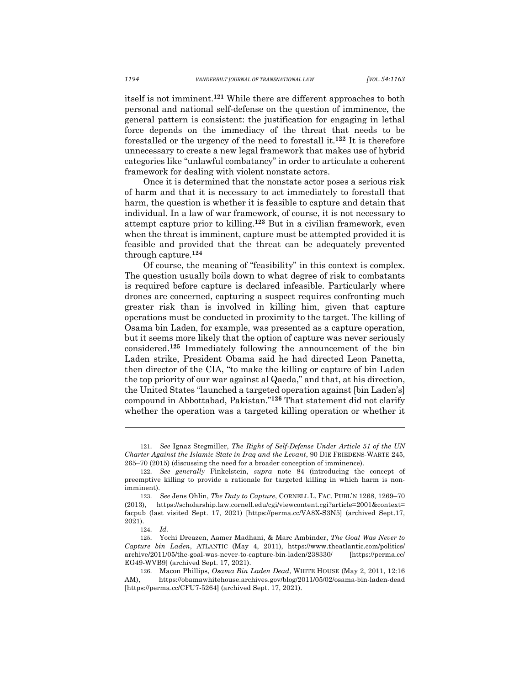itself is not imminent.**<sup>121</sup>** While there are different approaches to both personal and national self-defense on the question of imminence, the general pattern is consistent: the justification for engaging in lethal force depends on the immediacy of the threat that needs to be forestalled or the urgency of the need to forestall it.**<sup>122</sup>** It is therefore unnecessary to create a new legal framework that makes use of hybrid categories like "unlawful combatancy" in order to articulate a coherent framework for dealing with violent nonstate actors.

Once it is determined that the nonstate actor poses a serious risk of harm and that it is necessary to act immediately to forestall that harm, the question is whether it is feasible to capture and detain that individual. In a law of war framework, of course, it is not necessary to attempt capture prior to killing.**<sup>123</sup>** But in a civilian framework, even when the threat is imminent, capture must be attempted provided it is feasible and provided that the threat can be adequately prevented through capture. **124**

Of course, the meaning of "feasibility" in this context is complex. The question usually boils down to what degree of risk to combatants is required before capture is declared infeasible. Particularly where drones are concerned, capturing a suspect requires confronting much greater risk than is involved in killing him, given that capture operations must be conducted in proximity to the target. The killing of Osama bin Laden, for example, was presented as a capture operation, but it seems more likely that the option of capture was never seriously considered. **<sup>125</sup>** Immediately following the announcement of the bin Laden strike, President Obama said he had directed Leon Panetta, then director of the CIA, "to make the killing or capture of bin Laden the top priority of our war against al Qaeda," and that, at his direction, the United States "launched a targeted operation against [bin Laden's] compound in Abbottabad, Pakistan."**<sup>126</sup>** That statement did not clarify whether the operation was a targeted killing operation or whether it

<sup>121.</sup> *See* Ignaz Stegmiller, *The Right of Self-Defense Under Article 51 of the UN Charter Against the Islamic State in Iraq and the Levant*, 90 DIE FRIEDENS-WARTE 245, 265–70 (2015) (discussing the need for a broader conception of imminence).

<sup>122.</sup> *See generally* Finkelstein, *supra* note 84 (introducing the concept of preemptive killing to provide a rationale for targeted killing in which harm is nonimminent).

<sup>123.</sup> *See* Jens Ohlin, *The Duty to Capture*, CORNELL L. FAC. PUBL'N 1268, 1269–70 (2013), https://scholarship.law.cornell.edu/cgi/viewcontent.cgi?article=2001&context= facpub (last visited Sept. 17, 2021) [https://perma.cc/VA8X-S3N5] (archived Sept.17, 2021).

<sup>124.</sup> *Id.* 

<sup>125.</sup> Yochi Dreazen, Aamer Madhani, & Marc Ambinder, *The Goal Was Never to Capture bin Laden*, ATLANTIC (May 4, 2011), https://www.theatlantic.com/politics/ archive/2011/05/the-goal-was-never-to-capture-bin-laden/238330/ [https://perma.cc/ EG49-WVB9] (archived Sept. 17, 2021).

<sup>126.</sup> Macon Phillips, *Osama Bin Laden Dead*, WHITE HOUSE (May 2, 2011, 12:16 AM), https://obamawhitehouse.archives.gov/blog/2011/05/02/osama-bin-laden-dead [https://perma.cc/CFU7-5264] (archived Sept. 17, 2021).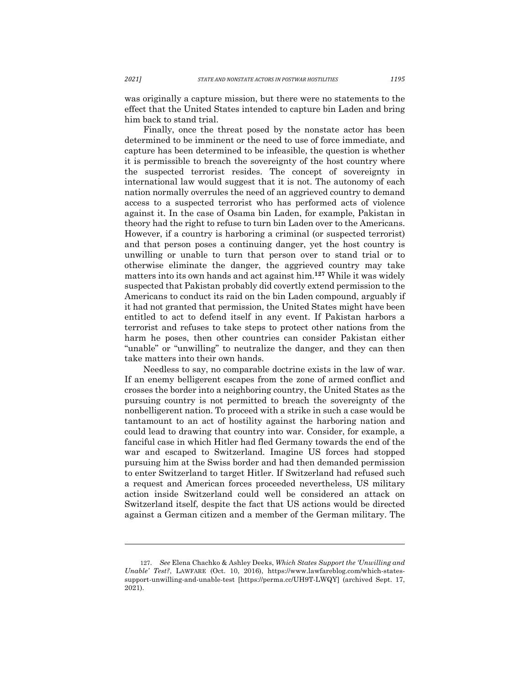was originally a capture mission, but there were no statements to the effect that the United States intended to capture bin Laden and bring him back to stand trial.

Finally, once the threat posed by the nonstate actor has been determined to be imminent or the need to use of force immediate, and capture has been determined to be infeasible, the question is whether it is permissible to breach the sovereignty of the host country where the suspected terrorist resides. The concept of sovereignty in international law would suggest that it is not. The autonomy of each nation normally overrules the need of an aggrieved country to demand access to a suspected terrorist who has performed acts of violence against it. In the case of Osama bin Laden, for example, Pakistan in theory had the right to refuse to turn bin Laden over to the Americans. However, if a country is harboring a criminal (or suspected terrorist) and that person poses a continuing danger, yet the host country is unwilling or unable to turn that person over to stand trial or to otherwise eliminate the danger, the aggrieved country may take matters into its own hands and act against him.**<sup>127</sup>** While it was widely suspected that Pakistan probably did covertly extend permission to the Americans to conduct its raid on the bin Laden compound, arguably if it had not granted that permission, the United States might have been entitled to act to defend itself in any event. If Pakistan harbors a terrorist and refuses to take steps to protect other nations from the harm he poses, then other countries can consider Pakistan either "unable" or "unwilling" to neutralize the danger, and they can then take matters into their own hands.

Needless to say, no comparable doctrine exists in the law of war. If an enemy belligerent escapes from the zone of armed conflict and crosses the border into a neighboring country, the United States as the pursuing country is not permitted to breach the sovereignty of the nonbelligerent nation. To proceed with a strike in such a case would be tantamount to an act of hostility against the harboring nation and could lead to drawing that country into war. Consider, for example, a fanciful case in which Hitler had fled Germany towards the end of the war and escaped to Switzerland. Imagine US forces had stopped pursuing him at the Swiss border and had then demanded permission to enter Switzerland to target Hitler. If Switzerland had refused such a request and American forces proceeded nevertheless, US military action inside Switzerland could well be considered an attack on Switzerland itself, despite the fact that US actions would be directed against a German citizen and a member of the German military. The

<sup>127.</sup> *See* Elena Chachko & Ashley Deeks, *Which States Support the 'Unwilling and Unable' Test?*, LAWFARE (Oct. 10, 2016), https://www.lawfareblog.com/which-statessupport-unwilling-and-unable-test [https://perma.cc/UH9T-LWQY] (archived Sept. 17, 2021).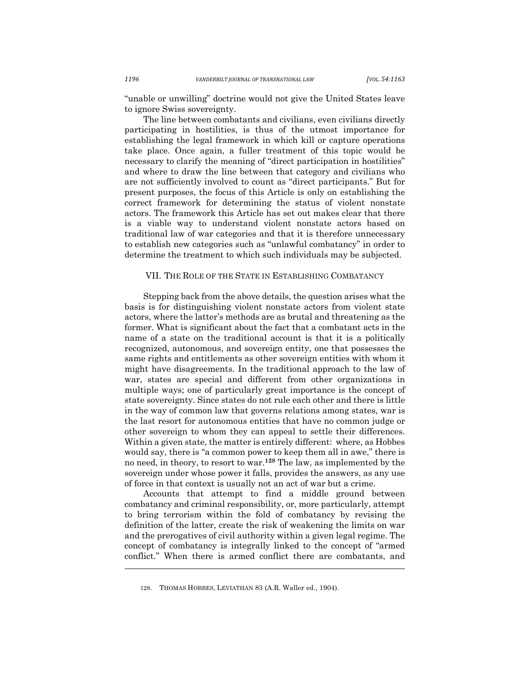"unable or unwilling" doctrine would not give the United States leave to ignore Swiss sovereignty.

The line between combatants and civilians, even civilians directly participating in hostilities, is thus of the utmost importance for establishing the legal framework in which kill or capture operations take place. Once again, a fuller treatment of this topic would be necessary to clarify the meaning of "direct participation in hostilities" and where to draw the line between that category and civilians who are not sufficiently involved to count as "direct participants." But for present purposes, the focus of this Article is only on establishing the correct framework for determining the status of violent nonstate actors. The framework this Article has set out makes clear that there is a viable way to understand violent nonstate actors based on traditional law of war categories and that it is therefore unnecessary to establish new categories such as "unlawful combatancy" in order to determine the treatment to which such individuals may be subjected.

#### VII. THE ROLE OF THE STATE IN ESTABLISHING COMBATANCY

Stepping back from the above details, the question arises what the basis is for distinguishing violent nonstate actors from violent state actors, where the latter's methods are as brutal and threatening as the former. What is significant about the fact that a combatant acts in the name of a state on the traditional account is that it is a politically recognized, autonomous, and sovereign entity, one that possesses the same rights and entitlements as other sovereign entities with whom it might have disagreements. In the traditional approach to the law of war, states are special and different from other organizations in multiple ways; one of particularly great importance is the concept of state sovereignty. Since states do not rule each other and there is little in the way of common law that governs relations among states, war is the last resort for autonomous entities that have no common judge or other sovereign to whom they can appeal to settle their differences. Within a given state, the matter is entirely different: where, as Hobbes would say, there is "a common power to keep them all in awe," there is no need, in theory, to resort to war.**<sup>128</sup>** The law, as implemented by the sovereign under whose power it falls, provides the answers, as any use of force in that context is usually not an act of war but a crime.

Accounts that attempt to find a middle ground between combatancy and criminal responsibility, or, more particularly, attempt to bring terrorism within the fold of combatancy by revising the definition of the latter, create the risk of weakening the limits on war and the prerogatives of civil authority within a given legal regime. The concept of combatancy is integrally linked to the concept of "armed conflict." When there is armed conflict there are combatants, and

128. THOMAS HOBBES, LEVIATHAN 83 (A.R. Waller ed., 1904).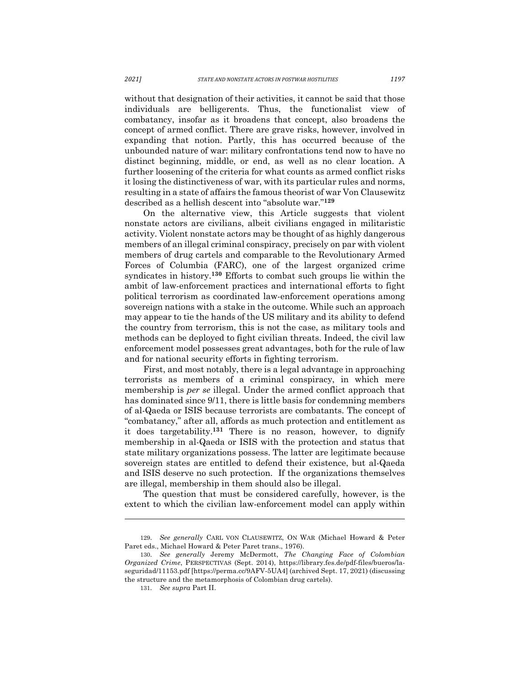without that designation of their activities, it cannot be said that those individuals are belligerents. Thus, the functionalist view of combatancy, insofar as it broadens that concept, also broadens the concept of armed conflict. There are grave risks, however, involved in expanding that notion. Partly, this has occurred because of the unbounded nature of war: military confrontations tend now to have no distinct beginning, middle, or end, as well as no clear location. A further loosening of the criteria for what counts as armed conflict risks it losing the distinctiveness of war, with its particular rules and norms, resulting in a state of affairs the famous theorist of war Von Clausewitz described as a hellish descent into "absolute war."**<sup>129</sup>**

On the alternative view, this Article suggests that violent nonstate actors are civilians, albeit civilians engaged in militaristic activity. Violent nonstate actors may be thought of as highly dangerous members of an illegal criminal conspiracy, precisely on par with violent members of drug cartels and comparable to the Revolutionary Armed Forces of Columbia (FARC), one of the largest organized crime syndicates in history.**<sup>130</sup>** Efforts to combat such groups lie within the ambit of law-enforcement practices and international efforts to fight political terrorism as coordinated law-enforcement operations among sovereign nations with a stake in the outcome. While such an approach may appear to tie the hands of the US military and its ability to defend the country from terrorism, this is not the case, as military tools and methods can be deployed to fight civilian threats. Indeed, the civil law enforcement model possesses great advantages, both for the rule of law and for national security efforts in fighting terrorism.

First, and most notably, there is a legal advantage in approaching terrorists as members of a criminal conspiracy, in which mere membership is *per se* illegal. Under the armed conflict approach that has dominated since 9/11, there is little basis for condemning members of al-Qaeda or ISIS because terrorists are combatants. The concept of "combatancy," after all, affords as much protection and entitlement as it does targetability. **<sup>131</sup>** There is no reason, however, to dignify membership in al-Qaeda or ISIS with the protection and status that state military organizations possess. The latter are legitimate because sovereign states are entitled to defend their existence, but al-Qaeda and ISIS deserve no such protection. If the organizations themselves are illegal, membership in them should also be illegal.

The question that must be considered carefully, however, is the extent to which the civilian law-enforcement model can apply within

<sup>129.</sup> *See generally* CARL VON CLAUSEWITZ, ON WAR (Michael Howard & Peter Paret eds., Michael Howard & Peter Paret trans., 1976).

<sup>130.</sup> *See generally* Jeremy McDermott, *The Changing Face of Colombian Organized Crime*, PERSPECTIVAS (Sept. 2014), https://library.fes.de/pdf-files/bueros/laseguridad/11153.pdf [https://perma.cc/9AFV-5UA4] (archived Sept. 17, 2021) (discussing the structure and the metamorphosis of Colombian drug cartels).

<sup>131.</sup> *See supra* Part II.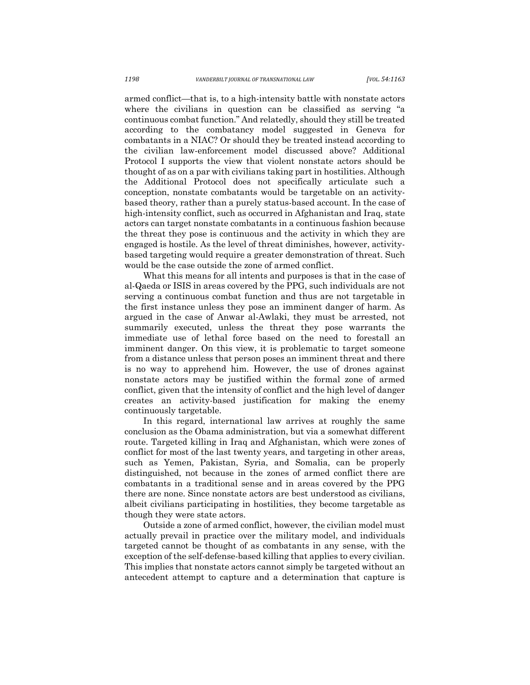armed conflict—that is, to a high-intensity battle with nonstate actors where the civilians in question can be classified as serving "a continuous combat function." And relatedly, should they still be treated according to the combatancy model suggested in Geneva for combatants in a NIAC? Or should they be treated instead according to the civilian law-enforcement model discussed above? Additional Protocol I supports the view that violent nonstate actors should be thought of as on a par with civilians taking part in hostilities. Although the Additional Protocol does not specifically articulate such a conception, nonstate combatants would be targetable on an activitybased theory, rather than a purely status-based account. In the case of high-intensity conflict, such as occurred in Afghanistan and Iraq, state actors can target nonstate combatants in a continuous fashion because the threat they pose is continuous and the activity in which they are engaged is hostile. As the level of threat diminishes, however, activitybased targeting would require a greater demonstration of threat. Such would be the case outside the zone of armed conflict.

What this means for all intents and purposes is that in the case of al-Qaeda or ISIS in areas covered by the PPG, such individuals are not serving a continuous combat function and thus are not targetable in the first instance unless they pose an imminent danger of harm. As argued in the case of Anwar al-Awlaki, they must be arrested, not summarily executed, unless the threat they pose warrants the immediate use of lethal force based on the need to forestall an imminent danger. On this view, it is problematic to target someone from a distance unless that person poses an imminent threat and there is no way to apprehend him. However, the use of drones against nonstate actors may be justified within the formal zone of armed conflict, given that the intensity of conflict and the high level of danger creates an activity-based justification for making the enemy continuously targetable.

In this regard, international law arrives at roughly the same conclusion as the Obama administration, but via a somewhat different route. Targeted killing in Iraq and Afghanistan, which were zones of conflict for most of the last twenty years, and targeting in other areas, such as Yemen, Pakistan, Syria, and Somalia, can be properly distinguished, not because in the zones of armed conflict there are combatants in a traditional sense and in areas covered by the PPG there are none. Since nonstate actors are best understood as civilians, albeit civilians participating in hostilities, they become targetable as though they were state actors.

Outside a zone of armed conflict, however, the civilian model must actually prevail in practice over the military model, and individuals targeted cannot be thought of as combatants in any sense, with the exception of the self-defense-based killing that applies to every civilian. This implies that nonstate actors cannot simply be targeted without an antecedent attempt to capture and a determination that capture is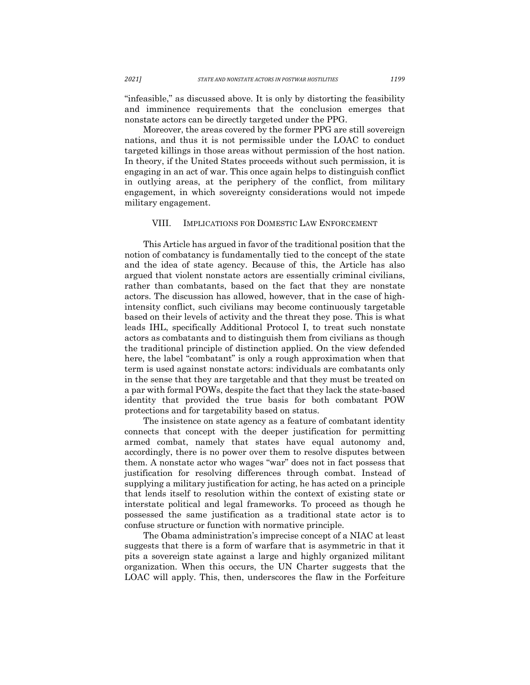"infeasible," as discussed above. It is only by distorting the feasibility and imminence requirements that the conclusion emerges that nonstate actors can be directly targeted under the PPG.

Moreover, the areas covered by the former PPG are still sovereign nations, and thus it is not permissible under the LOAC to conduct targeted killings in those areas without permission of the host nation. In theory, if the United States proceeds without such permission, it is engaging in an act of war. This once again helps to distinguish conflict in outlying areas, at the periphery of the conflict, from military engagement, in which sovereignty considerations would not impede military engagement.

#### VIII. IMPLICATIONS FOR DOMESTIC LAW ENFORCEMENT

This Article has argued in favor of the traditional position that the notion of combatancy is fundamentally tied to the concept of the state and the idea of state agency. Because of this, the Article has also argued that violent nonstate actors are essentially criminal civilians, rather than combatants, based on the fact that they are nonstate actors. The discussion has allowed, however, that in the case of highintensity conflict, such civilians may become continuously targetable based on their levels of activity and the threat they pose. This is what leads IHL, specifically Additional Protocol I, to treat such nonstate actors as combatants and to distinguish them from civilians as though the traditional principle of distinction applied. On the view defended here, the label "combatant" is only a rough approximation when that term is used against nonstate actors: individuals are combatants only in the sense that they are targetable and that they must be treated on a par with formal POWs, despite the fact that they lack the state-based identity that provided the true basis for both combatant POW protections and for targetability based on status.

The insistence on state agency as a feature of combatant identity connects that concept with the deeper justification for permitting armed combat, namely that states have equal autonomy and, accordingly, there is no power over them to resolve disputes between them. A nonstate actor who wages "war" does not in fact possess that justification for resolving differences through combat. Instead of supplying a military justification for acting, he has acted on a principle that lends itself to resolution within the context of existing state or interstate political and legal frameworks. To proceed as though he possessed the same justification as a traditional state actor is to confuse structure or function with normative principle.

The Obama administration's imprecise concept of a NIAC at least suggests that there is a form of warfare that is asymmetric in that it pits a sovereign state against a large and highly organized militant organization. When this occurs, the UN Charter suggests that the LOAC will apply. This, then, underscores the flaw in the Forfeiture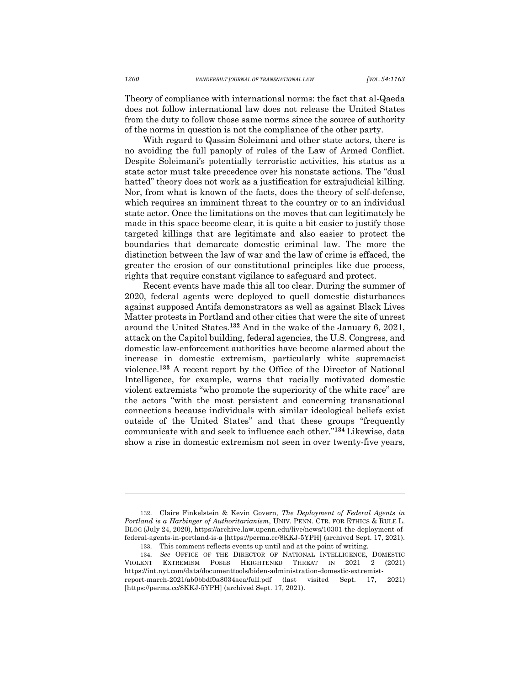Theory of compliance with international norms: the fact that al-Qaeda does not follow international law does not release the United States from the duty to follow those same norms since the source of authority of the norms in question is not the compliance of the other party.

With regard to Qassim Soleimani and other state actors, there is no avoiding the full panoply of rules of the Law of Armed Conflict. Despite Soleimani's potentially terroristic activities, his status as a state actor must take precedence over his nonstate actions. The "dual hatted" theory does not work as a justification for extrajudicial killing. Nor, from what is known of the facts, does the theory of self-defense, which requires an imminent threat to the country or to an individual state actor. Once the limitations on the moves that can legitimately be made in this space become clear, it is quite a bit easier to justify those targeted killings that are legitimate and also easier to protect the boundaries that demarcate domestic criminal law. The more the distinction between the law of war and the law of crime is effaced, the greater the erosion of our constitutional principles like due process, rights that require constant vigilance to safeguard and protect.

Recent events have made this all too clear. During the summer of 2020, federal agents were deployed to quell domestic disturbances against supposed Antifa demonstrators as well as against Black Lives Matter protests in Portland and other cities that were the site of unrest around the United States. **<sup>132</sup>** And in the wake of the January 6, 2021, attack on the Capitol building, federal agencies, the U.S. Congress, and domestic law-enforcement authorities have become alarmed about the increase in domestic extremism, particularly white supremacist violence.**<sup>133</sup>** A recent report by the Office of the Director of National Intelligence, for example, warns that racially motivated domestic violent extremists "who promote the superiority of the white race" are the actors "with the most persistent and concerning transnational connections because individuals with similar ideological beliefs exist outside of the United States" and that these groups "frequently communicate with and seek to influence each other."**<sup>134</sup>** Likewise, data show a rise in domestic extremism not seen in over twenty-five years,

<sup>132.</sup> Claire Finkelstein & Kevin Govern, *The Deployment of Federal Agents in Portland is a Harbinger of Authoritarianism*, UNIV. PENN. CTR. FOR ETHICS & RULE L. BLOG (July 24, 2020), https://archive.law.upenn.edu/live/news/10301-the-deployment-offederal-agents-in-portland-is-a [https://perma.cc/8KKJ-5YPH] (archived Sept. 17, 2021).

<sup>133.</sup> This comment reflects events up until and at the point of writing.

<sup>134.</sup> *See* OFFICE OF THE DIRECTOR OF NATIONAL INTELLIGENCE, DOMESTIC VIOLENT EXTREMISM POSES HEIGHTENED THREAT IN 2021 2 (2021) https://int.nyt.com/data/documenttools/biden-administration-domestic-extremistreport-march-2021/ab0bbdf0a8034aea/full.pdf (last visited Sept. 17, 2021) [https://perma.cc/8KKJ-5YPH] (archived Sept. 17, 2021).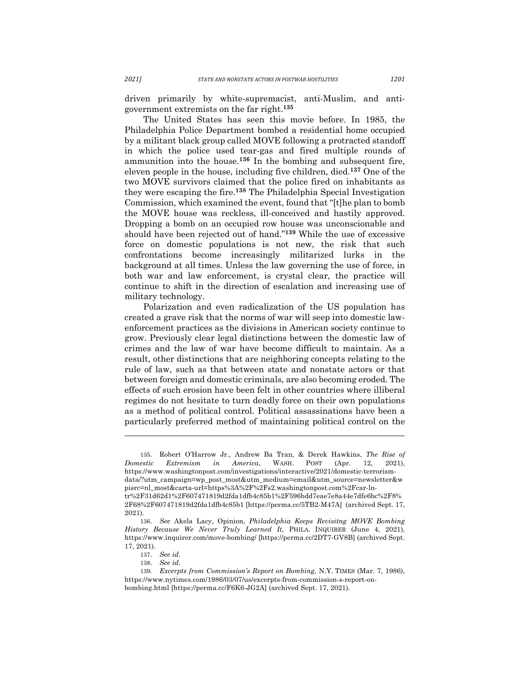driven primarily by white-supremacist, anti-Muslim, and antigovernment extremists on the far right.**<sup>135</sup>**

The United States has seen this movie before. In 1985, the Philadelphia Police Department bombed a residential home occupied by a militant black group called MOVE following a protracted standoff in which the police used tear-gas and fired multiple rounds of ammunition into the house.**<sup>136</sup>** In the bombing and subsequent fire, eleven people in the house, including five children, died.**<sup>137</sup>** One of the two MOVE survivors claimed that the police fired on inhabitants as they were escaping the fire.**<sup>138</sup>** The Philadelphia Special Investigation Commission, which examined the event, found that "[t]he plan to bomb the MOVE house was reckless, ill-conceived and hastily approved. Dropping a bomb on an occupied row house was unconscionable and should have been rejected out of hand."**<sup>139</sup>** While the use of excessive force on domestic populations is not new, the risk that such confrontations become increasingly militarized lurks in the background at all times. Unless the law governing the use of force, in both war and law enforcement, is crystal clear, the practice will continue to shift in the direction of escalation and increasing use of military technology.

Polarization and even radicalization of the US population has created a grave risk that the norms of war will seep into domestic lawenforcement practices as the divisions in American society continue to grow. Previously clear legal distinctions between the domestic law of crimes and the law of war have become difficult to maintain. As a result, other distinctions that are neighboring concepts relating to the rule of law, such as that between state and nonstate actors or that between foreign and domestic criminals, are also becoming eroded. The effects of such erosion have been felt in other countries where illiberal regimes do not hesitate to turn deadly force on their own populations as a method of political control. Political assassinations have been a particularly preferred method of maintaining political control on the

<sup>135.</sup> Robert O'Harrow Jr., Andrew Ba Tran, & Derek Hawkins, *The Rise of Domestic Extremism in America*, WASH. POST (Apr. 12, 2021), https://www.washingtonpost.com/investigations/interactive/2021/domestic-terrorismdata/?utm\_campaign=wp\_post\_most&utm\_medium=email&utm\_source=newsletter&w pisrc=nl\_most&carta-url=https%3A%2F%2Fs2.washingtonpost.com%2Fcar-lntr%2F31d62d1%2F607471819d2fda1dfb4c85b1%2F596bdd7eae7e8a44e7dfe6bc%2F8% 2F68%2F607471819d2fda1dfb4c85b1 [https://perma.cc/5TB2-M47A] (archived Sept. 17, 2021).

<sup>136.</sup> *See* Akela Lacy, Opinion, *Philadelphia Keeps Revisitng MOVE Bombing History Because We Never Truly Learned It,* PHILA. INQUIRER (June 4, 2021), https://www.inquirer.com/move-bombing/ [https://perma.cc/2DT7-GV8B] (archived Sept. 17, 2021).

<sup>137.</sup> *See id.* 

<sup>138.</sup> *See id.*  139. *Excerpts from Commission's Report on Bombing*, N.Y. TIMES (Mar. 7, 1986), https://www.nytimes.com/1986/03/07/us/excerpts-from-commission-s-report-onbombing.html [https://perma.cc/F6K6-JG2A] (archived Sept. 17, 2021).